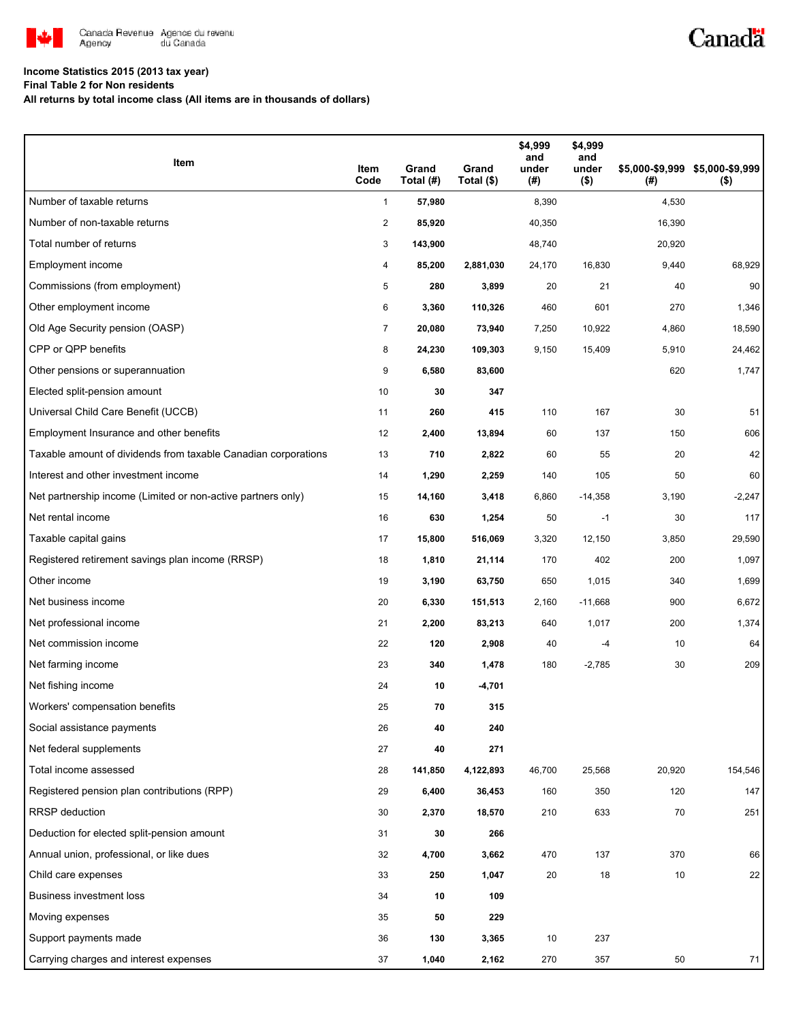

# Canadä

## **Income Statistics 2015 (2013 tax year)**

**Final Table 2 for Non residents**

**All returns by total income class (All items are in thousands of dollars)**

| Item                                                           | Item<br>Code   | Grand<br>Total (#) | Grand<br>Total (\$) | \$4,999<br>and<br>under<br>(#) | \$4,999<br>and<br>under<br>$($ \$) | (#)    | \$5,000-\$9,999 \$5,000-\$9,999<br>$($ \$) |
|----------------------------------------------------------------|----------------|--------------------|---------------------|--------------------------------|------------------------------------|--------|--------------------------------------------|
| Number of taxable returns                                      | $\mathbf{1}$   | 57,980             |                     | 8,390                          |                                    | 4,530  |                                            |
| Number of non-taxable returns                                  | $\overline{c}$ | 85,920             |                     | 40,350                         |                                    | 16,390 |                                            |
| Total number of returns                                        | 3              | 143,900            |                     | 48,740                         |                                    | 20,920 |                                            |
| Employment income                                              | 4              | 85,200             | 2,881,030           | 24,170                         | 16,830                             | 9,440  | 68,929                                     |
| Commissions (from employment)                                  | 5              | 280                | 3,899               | 20                             | 21                                 | 40     | 90                                         |
| Other employment income                                        | 6              | 3,360              | 110,326             | 460                            | 601                                | 270    | 1,346                                      |
| Old Age Security pension (OASP)                                | 7              | 20,080             | 73,940              | 7,250                          | 10,922                             | 4,860  | 18,590                                     |
| CPP or QPP benefits                                            | 8              | 24,230             | 109,303             | 9,150                          | 15,409                             | 5,910  | 24,462                                     |
| Other pensions or superannuation                               | 9              | 6,580              | 83,600              |                                |                                    | 620    | 1,747                                      |
| Elected split-pension amount                                   | 10             | 30                 | 347                 |                                |                                    |        |                                            |
| Universal Child Care Benefit (UCCB)                            | 11             | 260                | 415                 | 110                            | 167                                | 30     | 51                                         |
| Employment Insurance and other benefits                        | 12             | 2,400              | 13,894              | 60                             | 137                                | 150    | 606                                        |
| Taxable amount of dividends from taxable Canadian corporations | 13             | 710                | 2,822               | 60                             | 55                                 | 20     | 42                                         |
| Interest and other investment income                           | 14             | 1,290              | 2,259               | 140                            | 105                                | 50     | 60                                         |
| Net partnership income (Limited or non-active partners only)   | 15             | 14,160             | 3,418               | 6,860                          | $-14,358$                          | 3,190  | $-2,247$                                   |
| Net rental income                                              | 16             | 630                | 1,254               | 50                             | $-1$                               | 30     | 117                                        |
| Taxable capital gains                                          | 17             | 15,800             | 516,069             | 3,320                          | 12,150                             | 3,850  | 29,590                                     |
| Registered retirement savings plan income (RRSP)               | 18             | 1,810              | 21,114              | 170                            | 402                                | 200    | 1,097                                      |
| Other income                                                   | 19             | 3,190              | 63,750              | 650                            | 1,015                              | 340    | 1,699                                      |
| Net business income                                            | 20             | 6,330              | 151,513             | 2,160                          | $-11,668$                          | 900    | 6,672                                      |
| Net professional income                                        | 21             | 2,200              | 83,213              | 640                            | 1,017                              | 200    | 1,374                                      |
| Net commission income                                          | 22             | 120                | 2,908               | 40                             | $-4$                               | 10     | 64                                         |
| Net farming income                                             | 23             | 340                | 1,478               | 180                            | $-2,785$                           | 30     | 209                                        |
| Net fishing income                                             | 24             | 10                 | -4,701              |                                |                                    |        |                                            |
| Workers' compensation benefits                                 | 25             | 70                 | 315                 |                                |                                    |        |                                            |
| Social assistance payments                                     | 26             | 40                 | 240                 |                                |                                    |        |                                            |
| Net federal supplements                                        | 27             | 40                 | 271                 |                                |                                    |        |                                            |
| Total income assessed                                          | 28             | 141,850            | 4,122,893           | 46,700                         | 25,568                             | 20,920 | 154,546                                    |
| Registered pension plan contributions (RPP)                    | 29             | 6,400              | 36,453              | 160                            | 350                                | 120    | 147                                        |
| <b>RRSP</b> deduction                                          | 30             | 2,370              | 18,570              | 210                            | 633                                | 70     | 251                                        |
| Deduction for elected split-pension amount                     | 31             | 30                 | 266                 |                                |                                    |        |                                            |
| Annual union, professional, or like dues                       | 32             | 4,700              | 3,662               | 470                            | 137                                | 370    | 66                                         |
| Child care expenses                                            | 33             | 250                | 1,047               | 20                             | 18                                 | 10     | 22                                         |
| <b>Business investment loss</b>                                | 34             | 10                 | 109                 |                                |                                    |        |                                            |
| Moving expenses                                                | 35             | 50                 | 229                 |                                |                                    |        |                                            |
| Support payments made                                          | 36             | 130                | 3,365               | 10                             | 237                                |        |                                            |
| Carrying charges and interest expenses                         | 37             | 1,040              | 2,162               | 270                            | 357                                | 50     | 71                                         |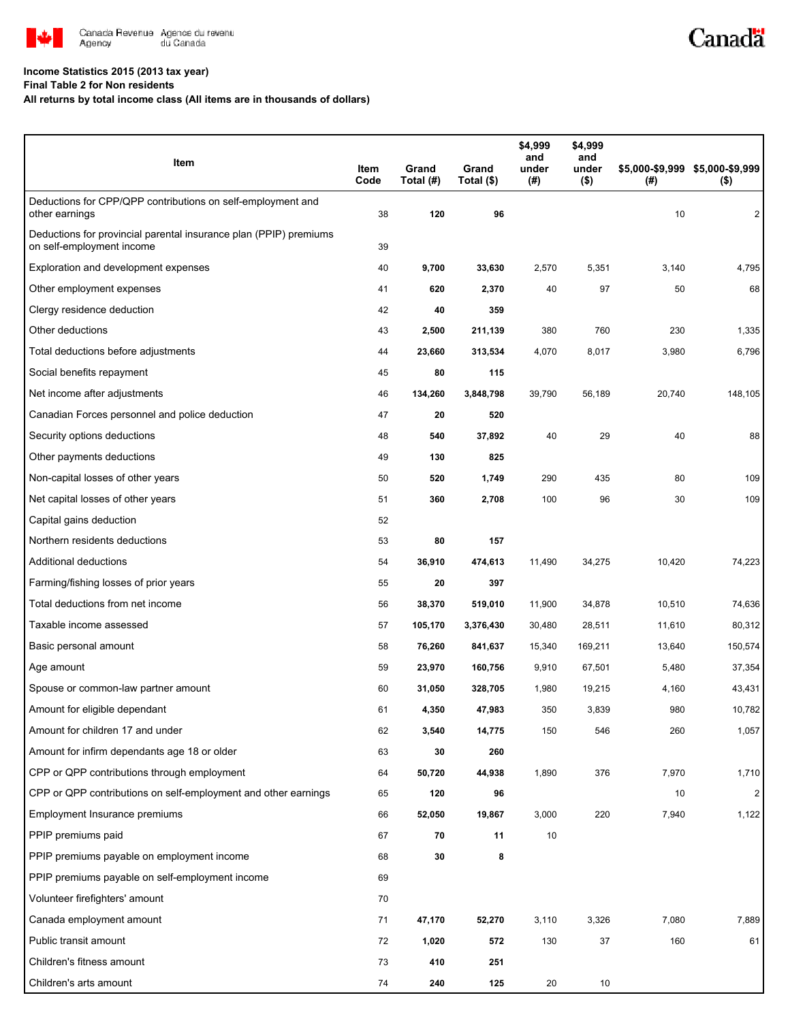

#### **Income Statistics 2015 (2013 tax year)**

**Final Table 2 for Non residents**

**All returns by total income class (All items are in thousands of dollars)**

| Item                                                                                           | Item<br>Code | Grand<br>Total (#) | Grand<br>Total (\$) | \$4,999<br>and<br>under<br>$(\#)$ | \$4,999<br>and<br>under<br>$($ \$) | (#)    | \$5,000-\$9,999 \$5,000-\$9,999<br>$($ \$) |
|------------------------------------------------------------------------------------------------|--------------|--------------------|---------------------|-----------------------------------|------------------------------------|--------|--------------------------------------------|
| Deductions for CPP/QPP contributions on self-employment and<br>other earnings                  | 38           | 120                | 96                  |                                   |                                    | 10     | 2                                          |
| Deductions for provincial parental insurance plan (PPIP) premiums<br>on self-employment income | 39           |                    |                     |                                   |                                    |        |                                            |
| Exploration and development expenses                                                           | 40           | 9,700              | 33,630              | 2,570                             | 5,351                              | 3,140  | 4,795                                      |
| Other employment expenses                                                                      | 41           | 620                | 2,370               | 40                                | 97                                 | 50     | 68                                         |
| Clergy residence deduction                                                                     | 42           | 40                 | 359                 |                                   |                                    |        |                                            |
| Other deductions                                                                               | 43           | 2,500              | 211,139             | 380                               | 760                                | 230    | 1,335                                      |
| Total deductions before adjustments                                                            | 44           | 23,660             | 313,534             | 4,070                             | 8,017                              | 3,980  | 6,796                                      |
| Social benefits repayment                                                                      | 45           | 80                 | 115                 |                                   |                                    |        |                                            |
| Net income after adjustments                                                                   | 46           | 134,260            | 3,848,798           | 39,790                            | 56,189                             | 20,740 | 148,105                                    |
| Canadian Forces personnel and police deduction                                                 | 47           | 20                 | 520                 |                                   |                                    |        |                                            |
| Security options deductions                                                                    | 48           | 540                | 37,892              | 40                                | 29                                 | 40     | 88                                         |
| Other payments deductions                                                                      | 49           | 130                | 825                 |                                   |                                    |        |                                            |
| Non-capital losses of other years                                                              | 50           | 520                | 1,749               | 290                               | 435                                | 80     | 109                                        |
| Net capital losses of other years                                                              | 51           | 360                | 2,708               | 100                               | 96                                 | 30     | 109                                        |
| Capital gains deduction                                                                        | 52           |                    |                     |                                   |                                    |        |                                            |
| Northern residents deductions                                                                  | 53           | 80                 | 157                 |                                   |                                    |        |                                            |
| Additional deductions                                                                          | 54           | 36,910             | 474,613             | 11,490                            | 34,275                             | 10,420 | 74,223                                     |
| Farming/fishing losses of prior years                                                          | 55           | 20                 | 397                 |                                   |                                    |        |                                            |
| Total deductions from net income                                                               | 56           | 38,370             | 519,010             | 11,900                            | 34,878                             | 10,510 | 74,636                                     |
| Taxable income assessed                                                                        | 57           | 105,170            | 3,376,430           | 30,480                            | 28,511                             | 11,610 | 80,312                                     |
| Basic personal amount                                                                          | 58           | 76,260             | 841,637             | 15,340                            | 169,211                            | 13,640 | 150,574                                    |
| Age amount                                                                                     | 59           | 23,970             | 160,756             | 9,910                             | 67,501                             | 5,480  | 37,354                                     |
| Spouse or common-law partner amount                                                            | 60           | 31,050             | 328,705             | 1,980                             | 19,215                             | 4,160  | 43,431                                     |
| Amount for eligible dependant                                                                  | 61           | 4,350              | 47,983              | 350                               | 3,839                              | 980    | 10,782                                     |
| Amount for children 17 and under                                                               | 62           | 3,540              | 14,775              | 150                               | 546                                | 260    | 1,057                                      |
| Amount for infirm dependants age 18 or older                                                   | 63           | 30                 | 260                 |                                   |                                    |        |                                            |
| CPP or QPP contributions through employment                                                    | 64           | 50,720             | 44,938              | 1,890                             | 376                                | 7,970  | 1,710                                      |
| CPP or QPP contributions on self-employment and other earnings                                 | 65           | 120                | 96                  |                                   |                                    | 10     | 2                                          |
| Employment Insurance premiums                                                                  | 66           | 52,050             | 19,867              | 3,000                             | 220                                | 7,940  | 1,122                                      |
| PPIP premiums paid                                                                             | 67           | 70                 | 11                  | 10                                |                                    |        |                                            |
| PPIP premiums payable on employment income                                                     | 68           | 30                 | 8                   |                                   |                                    |        |                                            |
| PPIP premiums payable on self-employment income                                                | 69           |                    |                     |                                   |                                    |        |                                            |
| Volunteer firefighters' amount                                                                 | 70           |                    |                     |                                   |                                    |        |                                            |
| Canada employment amount                                                                       | 71           | 47,170             | 52,270              | 3,110                             | 3,326                              | 7,080  | 7,889                                      |
| Public transit amount                                                                          | 72           | 1,020              | 572                 | 130                               | 37                                 | 160    | 61                                         |
| Children's fitness amount                                                                      | 73           | 410                | 251                 |                                   |                                    |        |                                            |
| Children's arts amount                                                                         | 74           | 240                | 125                 | 20                                | 10                                 |        |                                            |

Canadä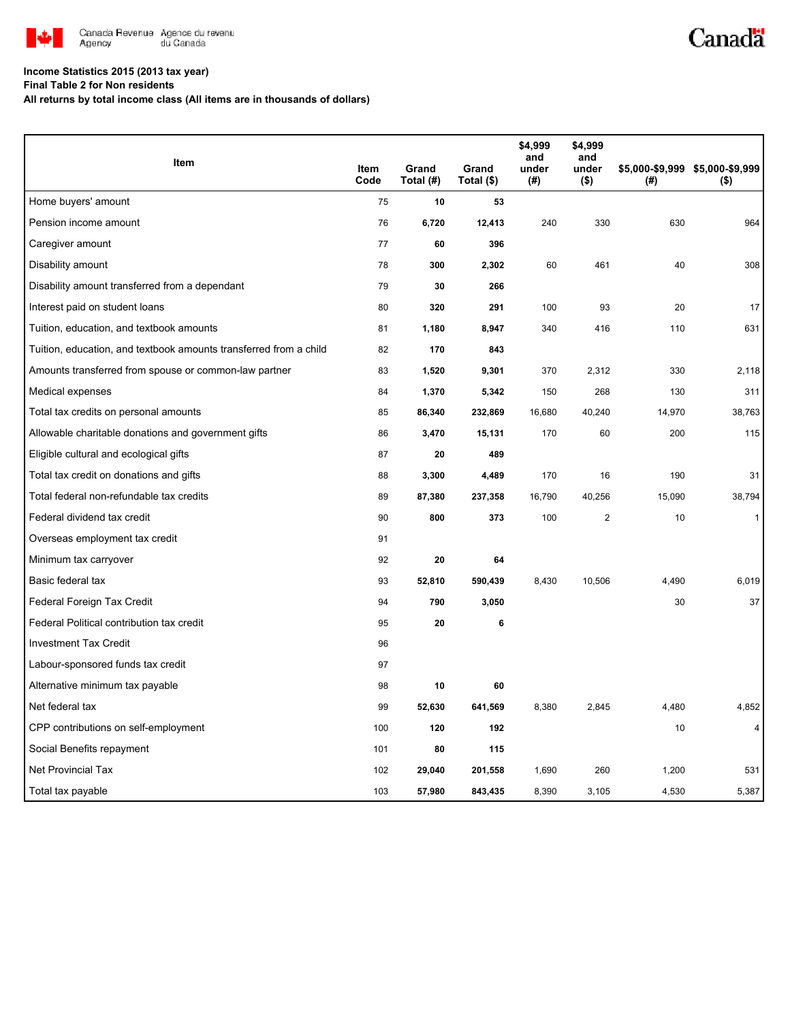

# Canadä

## **Income Statistics 2015 (2013 tax year)**

**Final Table 2 for Non residents**

**All returns by total income class (All items are in thousands of dollars)**

| Item                                                              |              |                    |                     | \$4,999<br>and | \$4,999<br>and   |        |                                            |
|-------------------------------------------------------------------|--------------|--------------------|---------------------|----------------|------------------|--------|--------------------------------------------|
|                                                                   | Item<br>Code | Grand<br>Total (#) | Grand<br>Total (\$) | under<br>(#)   | under<br>$($ \$) | (# )   | \$5,000-\$9,999 \$5,000-\$9,999<br>$($ \$) |
| Home buyers' amount                                               | 75           | 10                 | 53                  |                |                  |        |                                            |
| Pension income amount                                             | 76           | 6,720              | 12,413              | 240            | 330              | 630    | 964                                        |
| Caregiver amount                                                  | 77           | 60                 | 396                 |                |                  |        |                                            |
| Disability amount                                                 | 78           | 300                | 2,302               | 60             | 461              | 40     | 308                                        |
| Disability amount transferred from a dependant                    | 79           | 30                 | 266                 |                |                  |        |                                            |
| Interest paid on student loans                                    | 80           | 320                | 291                 | 100            | 93               | 20     | 17                                         |
| Tuition, education, and textbook amounts                          | 81           | 1,180              | 8,947               | 340            | 416              | 110    | 631                                        |
| Tuition, education, and textbook amounts transferred from a child | 82           | 170                | 843                 |                |                  |        |                                            |
| Amounts transferred from spouse or common-law partner             | 83           | 1,520              | 9,301               | 370            | 2,312            | 330    | 2,118                                      |
| Medical expenses                                                  | 84           | 1,370              | 5,342               | 150            | 268              | 130    | 311                                        |
| Total tax credits on personal amounts                             | 85           | 86,340             | 232,869             | 16,680         | 40,240           | 14,970 | 38,763                                     |
| Allowable charitable donations and government gifts               | 86           | 3,470              | 15,131              | 170            | 60               | 200    | 115                                        |
| Eligible cultural and ecological gifts                            | 87           | 20                 | 489                 |                |                  |        |                                            |
| Total tax credit on donations and gifts                           | 88           | 3,300              | 4,489               | 170            | 16               | 190    | 31                                         |
| Total federal non-refundable tax credits                          | 89           | 87,380             | 237,358             | 16,790         | 40,256           | 15,090 | 38,794                                     |
| Federal dividend tax credit                                       | 90           | 800                | 373                 | 100            | $\mathbf{2}$     | 10     | $\mathbf{1}$                               |
| Overseas employment tax credit                                    | 91           |                    |                     |                |                  |        |                                            |
| Minimum tax carryover                                             | 92           | 20                 | 64                  |                |                  |        |                                            |
| Basic federal tax                                                 | 93           | 52,810             | 590,439             | 8,430          | 10,506           | 4,490  | 6,019                                      |
| Federal Foreign Tax Credit                                        | 94           | 790                | 3,050               |                |                  | 30     | 37                                         |
| Federal Political contribution tax credit                         | 95           | 20                 | 6                   |                |                  |        |                                            |
| <b>Investment Tax Credit</b>                                      | 96           |                    |                     |                |                  |        |                                            |
| Labour-sponsored funds tax credit                                 | 97           |                    |                     |                |                  |        |                                            |
| Alternative minimum tax payable                                   | 98           | 10                 | 60                  |                |                  |        |                                            |
| Net federal tax                                                   | 99           | 52,630             | 641,569             | 8,380          | 2,845            | 4,480  | 4,852                                      |
| CPP contributions on self-employment                              | 100          | 120                | 192                 |                |                  | 10     | $\overline{4}$                             |
| Social Benefits repayment                                         | 101          | 80                 | 115                 |                |                  |        |                                            |
| <b>Net Provincial Tax</b>                                         | 102          | 29,040             | 201,558             | 1,690          | 260              | 1,200  | 531                                        |
| Total tax payable                                                 | 103          | 57,980             | 843,435             | 8,390          | 3,105            | 4,530  | 5,387                                      |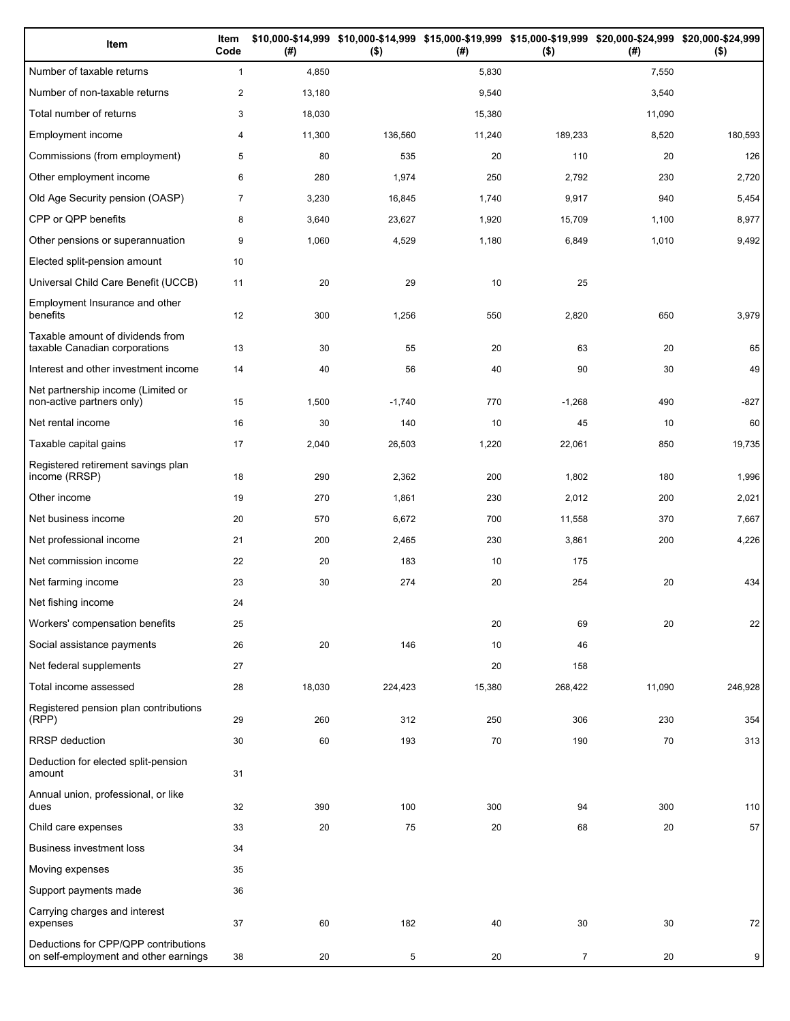| Item                                                                          | Item<br>Code   | (# )   | \$10,000-\$14,999 \$10,000-\$14,999 \$15,000-\$19,999 \$15,000-\$19,999 \$20,000-\$24,999 \$20,000-\$24,999<br>$($ \$) | (#)    | $($ \$)        | (#)    | $($ \$) |
|-------------------------------------------------------------------------------|----------------|--------|------------------------------------------------------------------------------------------------------------------------|--------|----------------|--------|---------|
| Number of taxable returns                                                     | $\mathbf{1}$   | 4,850  |                                                                                                                        | 5,830  |                | 7,550  |         |
| Number of non-taxable returns                                                 | $\overline{2}$ | 13,180 |                                                                                                                        | 9,540  |                | 3,540  |         |
| Total number of returns                                                       | 3              | 18,030 |                                                                                                                        | 15,380 |                | 11,090 |         |
| Employment income                                                             | 4              | 11,300 | 136,560                                                                                                                | 11,240 | 189,233        | 8,520  | 180,593 |
| Commissions (from employment)                                                 | 5              | 80     | 535                                                                                                                    | 20     | 110            | 20     | 126     |
| Other employment income                                                       | 6              | 280    | 1,974                                                                                                                  | 250    | 2,792          | 230    | 2,720   |
| Old Age Security pension (OASP)                                               | $\overline{7}$ | 3,230  | 16,845                                                                                                                 | 1,740  | 9,917          | 940    | 5,454   |
| CPP or QPP benefits                                                           | 8              | 3,640  | 23,627                                                                                                                 | 1,920  | 15,709         | 1,100  | 8,977   |
| Other pensions or superannuation                                              | 9              | 1,060  | 4,529                                                                                                                  | 1,180  | 6,849          | 1,010  | 9,492   |
| Elected split-pension amount                                                  | 10             |        |                                                                                                                        |        |                |        |         |
| Universal Child Care Benefit (UCCB)                                           | 11             | 20     | 29                                                                                                                     | 10     | 25             |        |         |
| Employment Insurance and other<br>benefits                                    | 12             | 300    | 1,256                                                                                                                  | 550    | 2,820          | 650    | 3,979   |
| Taxable amount of dividends from<br>taxable Canadian corporations             | 13             | 30     | 55                                                                                                                     | 20     | 63             | 20     | 65      |
| Interest and other investment income                                          | 14             | 40     | 56                                                                                                                     | 40     | 90             | 30     | 49      |
| Net partnership income (Limited or<br>non-active partners only)               | 15             | 1,500  | $-1,740$                                                                                                               | 770    | $-1,268$       | 490    | $-827$  |
| Net rental income                                                             | 16             | 30     | 140                                                                                                                    | 10     | 45             | 10     | 60      |
| Taxable capital gains                                                         | 17             | 2,040  | 26,503                                                                                                                 | 1,220  | 22,061         | 850    | 19,735  |
| Registered retirement savings plan<br>income (RRSP)                           | 18             | 290    | 2,362                                                                                                                  | 200    | 1,802          | 180    | 1,996   |
| Other income                                                                  | 19             | 270    | 1,861                                                                                                                  | 230    | 2,012          | 200    | 2,021   |
| Net business income                                                           | 20             | 570    | 6,672                                                                                                                  | 700    | 11,558         | 370    | 7,667   |
| Net professional income                                                       | 21             | 200    | 2,465                                                                                                                  | 230    | 3,861          | 200    | 4,226   |
| Net commission income                                                         | 22             | 20     | 183                                                                                                                    | 10     | 175            |        |         |
| Net farming income                                                            | 23             | 30     | 274                                                                                                                    | 20     | 254            | 20     | 434     |
| Net fishing income                                                            | 24             |        |                                                                                                                        |        |                |        |         |
| Workers' compensation benefits                                                | 25             |        |                                                                                                                        | 20     | 69             | 20     | 22      |
| Social assistance payments                                                    | 26             | 20     | 146                                                                                                                    | 10     | 46             |        |         |
| Net federal supplements                                                       | 27             |        |                                                                                                                        | 20     | 158            |        |         |
| Total income assessed                                                         | 28             | 18,030 | 224,423                                                                                                                | 15,380 | 268,422        | 11,090 | 246,928 |
| Registered pension plan contributions<br>(RPP)                                | 29             | 260    | 312                                                                                                                    | 250    | 306            | 230    | 354     |
| RRSP deduction                                                                | 30             | 60     | 193                                                                                                                    | 70     | 190            | 70     | 313     |
| Deduction for elected split-pension<br>amount                                 | 31             |        |                                                                                                                        |        |                |        |         |
| Annual union, professional, or like<br>dues                                   | 32             | 390    | 100                                                                                                                    | 300    | 94             | 300    | 110     |
| Child care expenses                                                           | 33             | 20     | 75                                                                                                                     | 20     | 68             | 20     | 57      |
| <b>Business investment loss</b>                                               | 34             |        |                                                                                                                        |        |                |        |         |
| Moving expenses                                                               | 35             |        |                                                                                                                        |        |                |        |         |
| Support payments made                                                         | 36             |        |                                                                                                                        |        |                |        |         |
| Carrying charges and interest<br>expenses                                     | 37             | 60     | 182                                                                                                                    | 40     | 30             | 30     | 72      |
| Deductions for CPP/QPP contributions<br>on self-employment and other earnings | 38             | 20     | 5                                                                                                                      | 20     | $\overline{7}$ | 20     | 9       |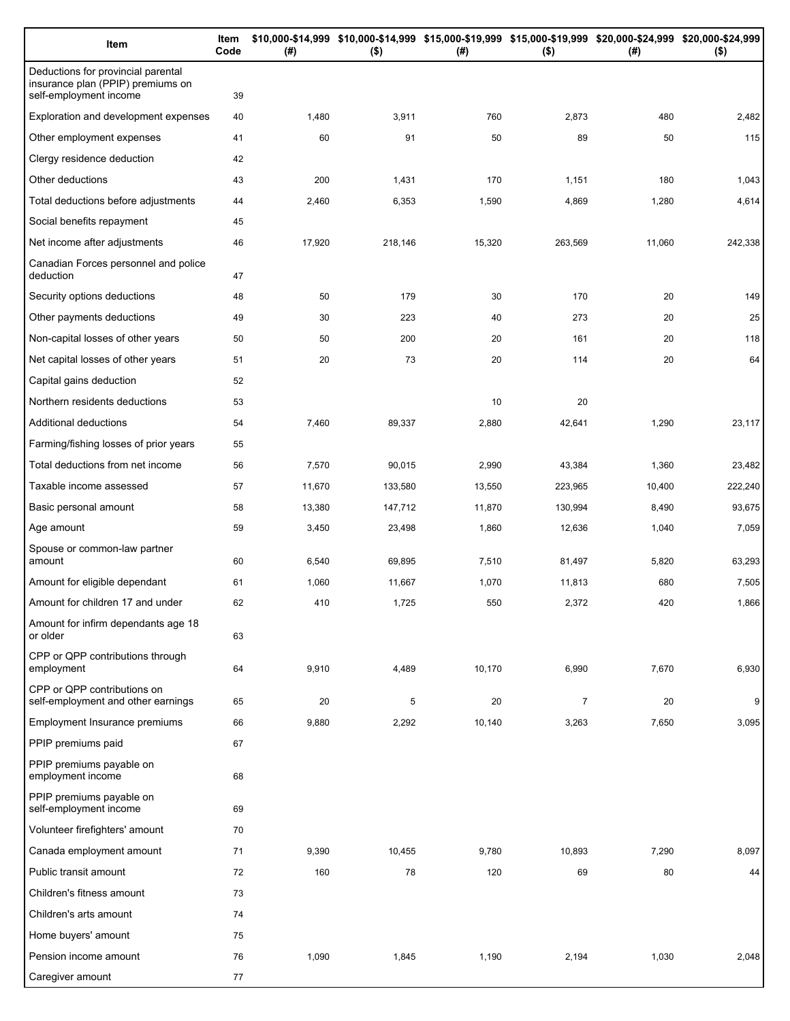| Item                                                                                              | Item<br>Code | (#)    | $($ \$) | \$10,000-\$14,999 \$10,000-\$14,999 \$15,000-\$19,999 \$15,000-\$19,999 \$20,000-\$24,999 \$20,000-\$24,999<br>(# ) | $($ \$)        | (# )   | $($ \$) |
|---------------------------------------------------------------------------------------------------|--------------|--------|---------|---------------------------------------------------------------------------------------------------------------------|----------------|--------|---------|
| Deductions for provincial parental<br>insurance plan (PPIP) premiums on<br>self-employment income | 39           |        |         |                                                                                                                     |                |        |         |
| Exploration and development expenses                                                              | 40           | 1,480  | 3,911   | 760                                                                                                                 | 2,873          | 480    | 2,482   |
| Other employment expenses                                                                         | 41           | 60     | 91      | 50                                                                                                                  | 89             | 50     | 115     |
| Clergy residence deduction                                                                        | 42           |        |         |                                                                                                                     |                |        |         |
| Other deductions                                                                                  | 43           | 200    | 1,431   | 170                                                                                                                 | 1,151          | 180    | 1,043   |
| Total deductions before adjustments                                                               | 44           | 2,460  | 6,353   | 1,590                                                                                                               | 4,869          | 1,280  | 4,614   |
| Social benefits repayment                                                                         | 45           |        |         |                                                                                                                     |                |        |         |
| Net income after adjustments                                                                      | 46           | 17,920 | 218,146 | 15,320                                                                                                              | 263,569        | 11,060 | 242,338 |
| Canadian Forces personnel and police<br>deduction                                                 | 47           |        |         |                                                                                                                     |                |        |         |
| Security options deductions                                                                       | 48           | 50     | 179     | 30                                                                                                                  | 170            | 20     | 149     |
| Other payments deductions                                                                         | 49           | 30     | 223     | 40                                                                                                                  | 273            | 20     | 25      |
| Non-capital losses of other years                                                                 | 50           | 50     | 200     | 20                                                                                                                  | 161            | 20     | 118     |
| Net capital losses of other years                                                                 | 51           | 20     | 73      | 20                                                                                                                  | 114            | 20     | 64      |
| Capital gains deduction                                                                           | 52           |        |         |                                                                                                                     |                |        |         |
| Northern residents deductions                                                                     | 53           |        |         | 10                                                                                                                  | 20             |        |         |
| Additional deductions                                                                             | 54           | 7,460  | 89,337  | 2,880                                                                                                               | 42,641         | 1,290  | 23,117  |
| Farming/fishing losses of prior years                                                             | 55           |        |         |                                                                                                                     |                |        |         |
| Total deductions from net income                                                                  | 56           | 7,570  | 90,015  | 2,990                                                                                                               | 43,384         | 1,360  | 23,482  |
| Taxable income assessed                                                                           | 57           | 11,670 | 133,580 | 13,550                                                                                                              | 223,965        | 10,400 | 222,240 |
| Basic personal amount                                                                             | 58           | 13,380 | 147,712 | 11,870                                                                                                              | 130,994        | 8,490  | 93,675  |
| Age amount                                                                                        | 59           | 3,450  | 23,498  | 1,860                                                                                                               | 12,636         | 1,040  | 7,059   |
| Spouse or common-law partner<br>amount                                                            | 60           | 6,540  | 69,895  | 7,510                                                                                                               | 81,497         | 5,820  | 63,293  |
| Amount for eligible dependant                                                                     | 61           | 1,060  | 11,667  | 1,070                                                                                                               | 11,813         | 680    | 7,505   |
| Amount for children 17 and under                                                                  | 62           | 410    | 1,725   | 550                                                                                                                 | 2,372          | 420    | 1,866   |
| Amount for infirm dependants age 18<br>or older                                                   | 63           |        |         |                                                                                                                     |                |        |         |
| CPP or QPP contributions through<br>employment                                                    | 64           | 9,910  | 4,489   | 10,170                                                                                                              | 6,990          | 7,670  | 6,930   |
| CPP or QPP contributions on<br>self-employment and other earnings                                 | 65           | 20     | 5       | 20                                                                                                                  | $\overline{7}$ | 20     | 9       |
| Employment Insurance premiums                                                                     | 66           | 9,880  | 2,292   | 10,140                                                                                                              | 3,263          | 7,650  | 3,095   |
| PPIP premiums paid                                                                                | 67           |        |         |                                                                                                                     |                |        |         |
| PPIP premiums payable on<br>employment income                                                     | 68           |        |         |                                                                                                                     |                |        |         |
| PPIP premiums payable on<br>self-employment income                                                | 69           |        |         |                                                                                                                     |                |        |         |
| Volunteer firefighters' amount                                                                    | 70           |        |         |                                                                                                                     |                |        |         |
| Canada employment amount                                                                          | 71           | 9,390  | 10,455  | 9,780                                                                                                               | 10,893         | 7,290  | 8,097   |
| Public transit amount                                                                             | 72           | 160    | 78      | 120                                                                                                                 | 69             | 80     | 44      |
| Children's fitness amount                                                                         | 73           |        |         |                                                                                                                     |                |        |         |
| Children's arts amount                                                                            | 74           |        |         |                                                                                                                     |                |        |         |
| Home buyers' amount                                                                               | 75           |        |         |                                                                                                                     |                |        |         |
| Pension income amount                                                                             | 76           | 1,090  | 1,845   | 1,190                                                                                                               | 2,194          | 1,030  | 2,048   |
| Caregiver amount                                                                                  | 77           |        |         |                                                                                                                     |                |        |         |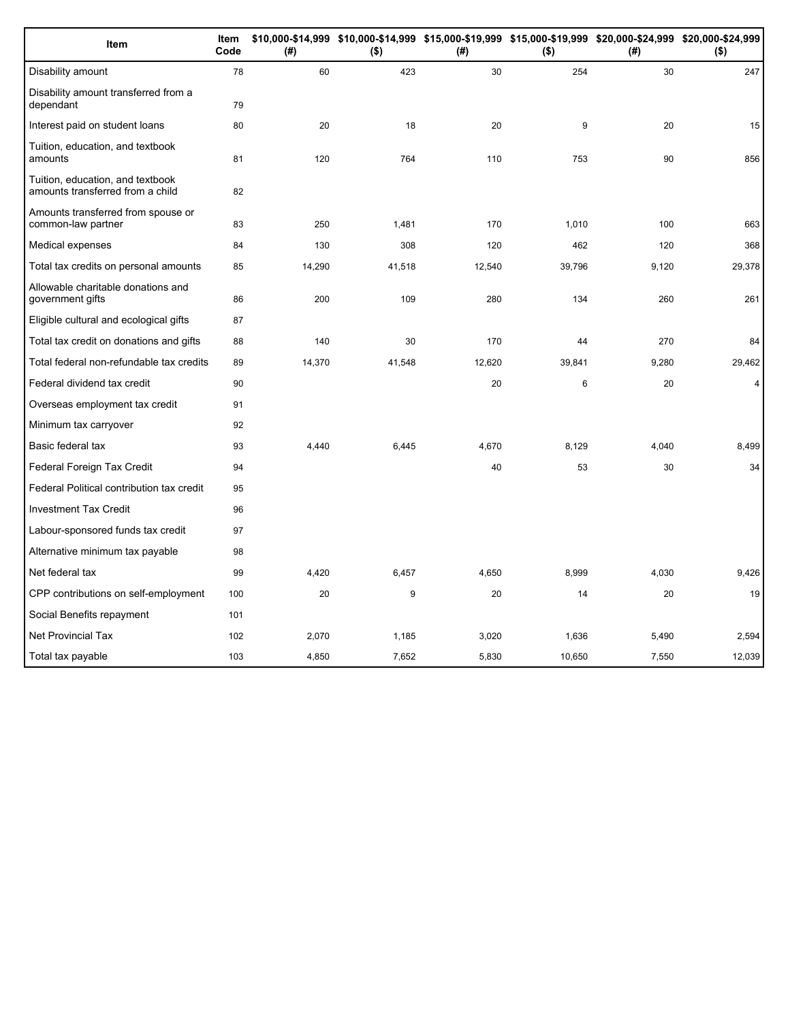| Item                                                                 | Item<br>Code | (#)    | $($ \$) | \$10,000-\$14,999 \$10,000-\$14,999 \$15,000-\$19,999 \$15,000-\$19,999 \$20,000-\$24,999 \$20,000-\$24,999<br>(#) | $($ \$) | (# )  | $($ \$) |
|----------------------------------------------------------------------|--------------|--------|---------|--------------------------------------------------------------------------------------------------------------------|---------|-------|---------|
| Disability amount                                                    | 78           | 60     | 423     | 30                                                                                                                 | 254     | 30    | 247     |
| Disability amount transferred from a<br>dependant                    | 79           |        |         |                                                                                                                    |         |       |         |
| Interest paid on student loans                                       | 80           | 20     | 18      | 20                                                                                                                 | 9       | 20    | 15      |
| Tuition, education, and textbook<br>amounts                          | 81           | 120    | 764     | 110                                                                                                                | 753     | 90    | 856     |
| Tuition, education, and textbook<br>amounts transferred from a child | 82           |        |         |                                                                                                                    |         |       |         |
| Amounts transferred from spouse or<br>common-law partner             | 83           | 250    | 1,481   | 170                                                                                                                | 1,010   | 100   | 663     |
| Medical expenses                                                     | 84           | 130    | 308     | 120                                                                                                                | 462     | 120   | 368     |
| Total tax credits on personal amounts                                | 85           | 14,290 | 41,518  | 12,540                                                                                                             | 39,796  | 9,120 | 29,378  |
| Allowable charitable donations and<br>government gifts               | 86           | 200    | 109     | 280                                                                                                                | 134     | 260   | 261     |
| Eligible cultural and ecological gifts                               | 87           |        |         |                                                                                                                    |         |       |         |
| Total tax credit on donations and gifts                              | 88           | 140    | 30      | 170                                                                                                                | 44      | 270   | 84      |
| Total federal non-refundable tax credits                             | 89           | 14,370 | 41,548  | 12,620                                                                                                             | 39,841  | 9,280 | 29,462  |
| Federal dividend tax credit                                          | 90           |        |         | 20                                                                                                                 | 6       | 20    | 4       |
| Overseas employment tax credit                                       | 91           |        |         |                                                                                                                    |         |       |         |
| Minimum tax carryover                                                | 92           |        |         |                                                                                                                    |         |       |         |
| Basic federal tax                                                    | 93           | 4,440  | 6,445   | 4,670                                                                                                              | 8,129   | 4,040 | 8,499   |
| Federal Foreign Tax Credit                                           | 94           |        |         | 40                                                                                                                 | 53      | 30    | 34      |
| Federal Political contribution tax credit                            | 95           |        |         |                                                                                                                    |         |       |         |
| <b>Investment Tax Credit</b>                                         | 96           |        |         |                                                                                                                    |         |       |         |
| Labour-sponsored funds tax credit                                    | 97           |        |         |                                                                                                                    |         |       |         |
| Alternative minimum tax payable                                      | 98           |        |         |                                                                                                                    |         |       |         |
| Net federal tax                                                      | 99           | 4,420  | 6,457   | 4,650                                                                                                              | 8,999   | 4,030 | 9,426   |
| CPP contributions on self-employment                                 | 100          | 20     | 9       | 20                                                                                                                 | 14      | 20    | 19      |
| Social Benefits repayment                                            | 101          |        |         |                                                                                                                    |         |       |         |
| <b>Net Provincial Tax</b>                                            | 102          | 2,070  | 1,185   | 3,020                                                                                                              | 1,636   | 5,490 | 2,594   |
| Total tax payable                                                    | 103          | 4,850  | 7,652   | 5,830                                                                                                              | 10,650  | 7,550 | 12,039  |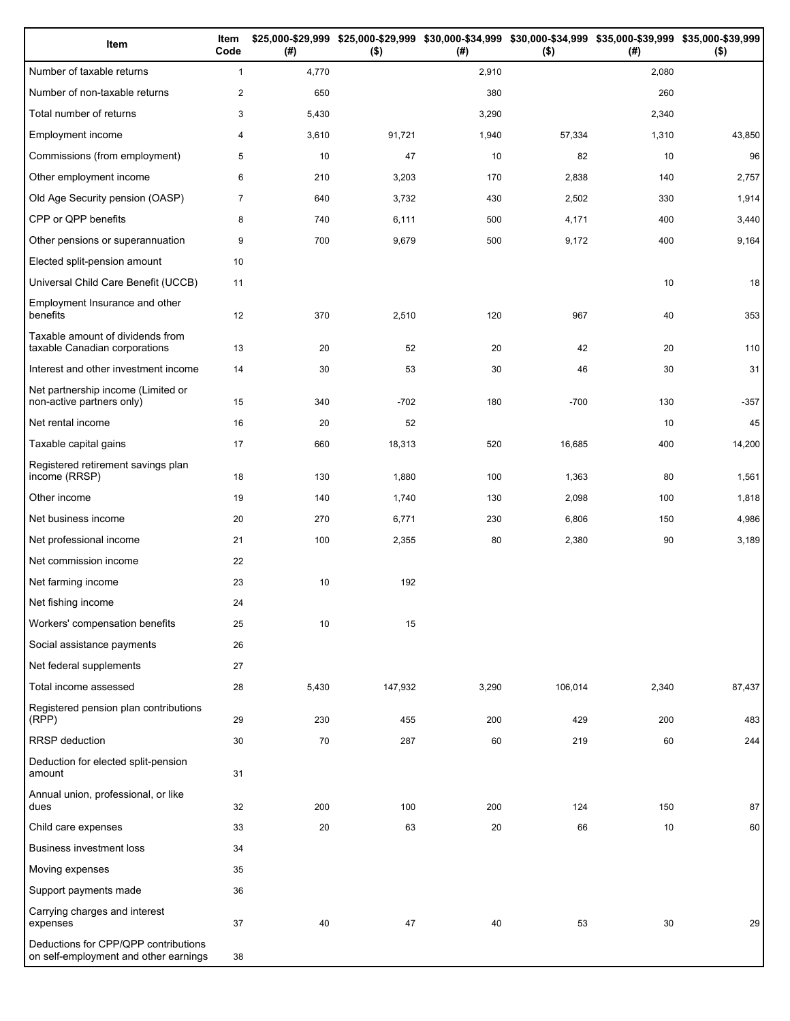| Item                                                                          | Item<br>Code   | (# )  | \$25,000-\$29,999 \$25,000-\$29,999 \$30,000-\$34,999 \$30,000-\$34,999 \$35,000-\$39,999 \$35,000-\$39,999<br>$($ \$) | (#)   | $($ \$) | (# )  | $($ \$) |
|-------------------------------------------------------------------------------|----------------|-------|------------------------------------------------------------------------------------------------------------------------|-------|---------|-------|---------|
| Number of taxable returns                                                     | $\mathbf{1}$   | 4,770 |                                                                                                                        | 2,910 |         | 2,080 |         |
| Number of non-taxable returns                                                 | $\overline{2}$ | 650   |                                                                                                                        | 380   |         | 260   |         |
| Total number of returns                                                       | 3              | 5,430 |                                                                                                                        | 3,290 |         | 2,340 |         |
| Employment income                                                             | 4              | 3,610 | 91,721                                                                                                                 | 1,940 | 57,334  | 1,310 | 43,850  |
| Commissions (from employment)                                                 | 5              | 10    | 47                                                                                                                     | 10    | 82      | 10    | 96      |
| Other employment income                                                       | 6              | 210   | 3,203                                                                                                                  | 170   | 2,838   | 140   | 2,757   |
| Old Age Security pension (OASP)                                               | $\overline{7}$ | 640   | 3,732                                                                                                                  | 430   | 2,502   | 330   | 1,914   |
| CPP or QPP benefits                                                           | 8              | 740   | 6,111                                                                                                                  | 500   | 4,171   | 400   | 3,440   |
| Other pensions or superannuation                                              | 9              | 700   | 9,679                                                                                                                  | 500   | 9,172   | 400   | 9,164   |
| Elected split-pension amount                                                  | 10             |       |                                                                                                                        |       |         |       |         |
| Universal Child Care Benefit (UCCB)                                           | 11             |       |                                                                                                                        |       |         | 10    | 18      |
| Employment Insurance and other<br>benefits                                    | 12             | 370   | 2,510                                                                                                                  | 120   | 967     | 40    | 353     |
| Taxable amount of dividends from<br>taxable Canadian corporations             | 13             | 20    | 52                                                                                                                     | 20    | 42      | 20    | 110     |
| Interest and other investment income                                          | 14             | 30    | 53                                                                                                                     | 30    | 46      | 30    | 31      |
| Net partnership income (Limited or<br>non-active partners only)               | 15             | 340   | $-702$                                                                                                                 | 180   | $-700$  | 130   | $-357$  |
| Net rental income                                                             | 16             | 20    | 52                                                                                                                     |       |         | 10    | 45      |
| Taxable capital gains                                                         | 17             | 660   | 18,313                                                                                                                 | 520   | 16,685  | 400   | 14,200  |
| Registered retirement savings plan<br>income (RRSP)                           | 18             | 130   | 1,880                                                                                                                  | 100   | 1,363   | 80    | 1,561   |
| Other income                                                                  | 19             | 140   | 1,740                                                                                                                  | 130   | 2,098   | 100   | 1,818   |
| Net business income                                                           | 20             | 270   | 6,771                                                                                                                  | 230   | 6,806   | 150   | 4,986   |
| Net professional income                                                       | 21             | 100   | 2,355                                                                                                                  | 80    | 2,380   | 90    | 3,189   |
| Net commission income                                                         | 22             |       |                                                                                                                        |       |         |       |         |
| Net farming income                                                            | 23             | 10    | 192                                                                                                                    |       |         |       |         |
| Net fishing income                                                            | 24             |       |                                                                                                                        |       |         |       |         |
| Workers' compensation benefits                                                | 25             | 10    | 15                                                                                                                     |       |         |       |         |
| Social assistance payments                                                    | 26             |       |                                                                                                                        |       |         |       |         |
| Net federal supplements                                                       | 27             |       |                                                                                                                        |       |         |       |         |
| Total income assessed                                                         | 28             | 5,430 | 147,932                                                                                                                | 3,290 | 106,014 | 2,340 | 87,437  |
| Registered pension plan contributions<br>(RPP)                                | 29             | 230   | 455                                                                                                                    | 200   | 429     | 200   | 483     |
| RRSP deduction                                                                | 30             | 70    | 287                                                                                                                    | 60    | 219     | 60    | 244     |
| Deduction for elected split-pension<br>amount                                 | 31             |       |                                                                                                                        |       |         |       |         |
| Annual union, professional, or like<br>dues                                   | 32             | 200   | 100                                                                                                                    | 200   | 124     | 150   | 87      |
| Child care expenses                                                           | 33             | 20    | 63                                                                                                                     | 20    | 66      | 10    | 60      |
| <b>Business investment loss</b>                                               | 34             |       |                                                                                                                        |       |         |       |         |
| Moving expenses                                                               | 35             |       |                                                                                                                        |       |         |       |         |
| Support payments made                                                         | 36             |       |                                                                                                                        |       |         |       |         |
| Carrying charges and interest<br>expenses                                     | 37             | 40    | 47                                                                                                                     | 40    | 53      | 30    | 29      |
| Deductions for CPP/QPP contributions<br>on self-employment and other earnings | 38             |       |                                                                                                                        |       |         |       |         |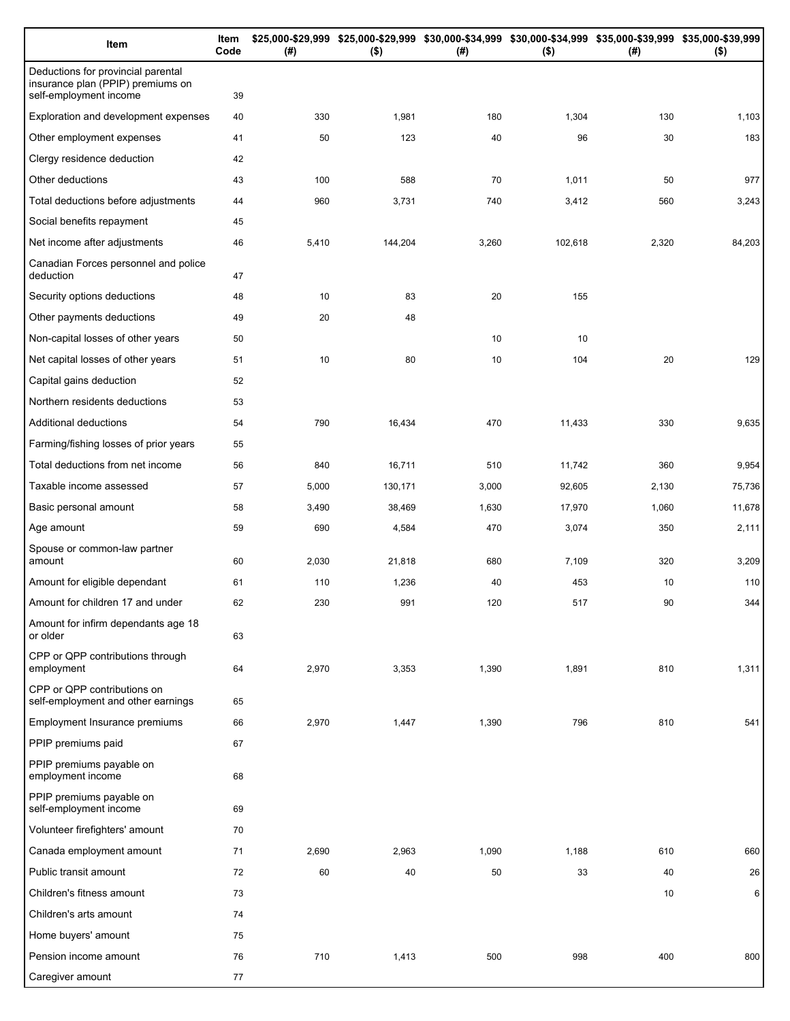| Item                                                                                              | Item<br>Code | (#)   | \$25,000-\$29,999 \$25,000-\$29,999 \$30,000-\$34,999 \$30,000-\$34,999 \$35,000-\$39,999 \$35,000-\$39,999<br>$($ \$) | (# )  | $($ \$) | (#)   | $($ \$) |
|---------------------------------------------------------------------------------------------------|--------------|-------|------------------------------------------------------------------------------------------------------------------------|-------|---------|-------|---------|
| Deductions for provincial parental<br>insurance plan (PPIP) premiums on<br>self-employment income | 39           |       |                                                                                                                        |       |         |       |         |
| Exploration and development expenses                                                              | 40           | 330   | 1,981                                                                                                                  | 180   | 1,304   | 130   | 1,103   |
| Other employment expenses                                                                         | 41           | 50    | 123                                                                                                                    | 40    | 96      | 30    | 183     |
| Clergy residence deduction                                                                        | 42           |       |                                                                                                                        |       |         |       |         |
| Other deductions                                                                                  | 43           | 100   | 588                                                                                                                    | 70    | 1,011   | 50    | 977     |
| Total deductions before adjustments                                                               | 44           | 960   | 3,731                                                                                                                  | 740   | 3,412   | 560   | 3,243   |
| Social benefits repayment                                                                         | 45           |       |                                                                                                                        |       |         |       |         |
| Net income after adjustments                                                                      | 46           | 5,410 | 144,204                                                                                                                | 3,260 | 102,618 | 2,320 | 84,203  |
| Canadian Forces personnel and police<br>deduction                                                 | 47           |       |                                                                                                                        |       |         |       |         |
| Security options deductions                                                                       | 48           | 10    | 83                                                                                                                     | 20    | 155     |       |         |
| Other payments deductions                                                                         | 49           | 20    | 48                                                                                                                     |       |         |       |         |
| Non-capital losses of other years                                                                 | 50           |       |                                                                                                                        | 10    | 10      |       |         |
| Net capital losses of other years                                                                 | 51           | 10    | 80                                                                                                                     | 10    | 104     | 20    | 129     |
| Capital gains deduction                                                                           | 52           |       |                                                                                                                        |       |         |       |         |
| Northern residents deductions                                                                     | 53           |       |                                                                                                                        |       |         |       |         |
| Additional deductions                                                                             | 54           | 790   | 16,434                                                                                                                 | 470   | 11,433  | 330   | 9,635   |
| Farming/fishing losses of prior years                                                             | 55           |       |                                                                                                                        |       |         |       |         |
| Total deductions from net income                                                                  | 56           | 840   | 16,711                                                                                                                 | 510   | 11,742  | 360   | 9,954   |
| Taxable income assessed                                                                           | 57           | 5,000 | 130,171                                                                                                                | 3,000 | 92,605  | 2,130 | 75,736  |
| Basic personal amount                                                                             | 58           | 3,490 | 38,469                                                                                                                 | 1,630 | 17,970  | 1,060 | 11,678  |
| Age amount                                                                                        | 59           | 690   | 4,584                                                                                                                  | 470   | 3,074   | 350   | 2,111   |
| Spouse or common-law partner<br>amount                                                            | 60           | 2,030 | 21,818                                                                                                                 | 680   | 7,109   | 320   | 3,209   |
| Amount for eligible dependant                                                                     | 61           | 110   | 1,236                                                                                                                  | 40    | 453     | 10    | 110     |
| Amount for children 17 and under                                                                  | 62           | 230   | 991                                                                                                                    | 120   | 517     | 90    | 344     |
| Amount for infirm dependants age 18<br>or older                                                   | 63           |       |                                                                                                                        |       |         |       |         |
| CPP or QPP contributions through<br>employment                                                    | 64           | 2,970 | 3,353                                                                                                                  | 1,390 | 1,891   | 810   | 1,311   |
| CPP or QPP contributions on<br>self-employment and other earnings                                 | 65           |       |                                                                                                                        |       |         |       |         |
| <b>Employment Insurance premiums</b>                                                              | 66           | 2,970 | 1,447                                                                                                                  | 1,390 | 796     | 810   | 541     |
| PPIP premiums paid                                                                                | 67           |       |                                                                                                                        |       |         |       |         |
| PPIP premiums payable on<br>employment income                                                     | 68           |       |                                                                                                                        |       |         |       |         |
| PPIP premiums payable on<br>self-employment income                                                | 69           |       |                                                                                                                        |       |         |       |         |
| Volunteer firefighters' amount                                                                    | 70           |       |                                                                                                                        |       |         |       |         |
| Canada employment amount                                                                          | 71           | 2,690 | 2,963                                                                                                                  | 1,090 | 1,188   | 610   | 660     |
| Public transit amount                                                                             | 72           | 60    | 40                                                                                                                     | 50    | 33      | 40    | 26      |
| Children's fitness amount                                                                         | 73           |       |                                                                                                                        |       |         | 10    | 6       |
| Children's arts amount                                                                            | 74           |       |                                                                                                                        |       |         |       |         |
| Home buyers' amount                                                                               | 75           |       |                                                                                                                        |       |         |       |         |
| Pension income amount                                                                             | 76           | 710   | 1,413                                                                                                                  | 500   | 998     | 400   | 800     |
| Caregiver amount                                                                                  | 77           |       |                                                                                                                        |       |         |       |         |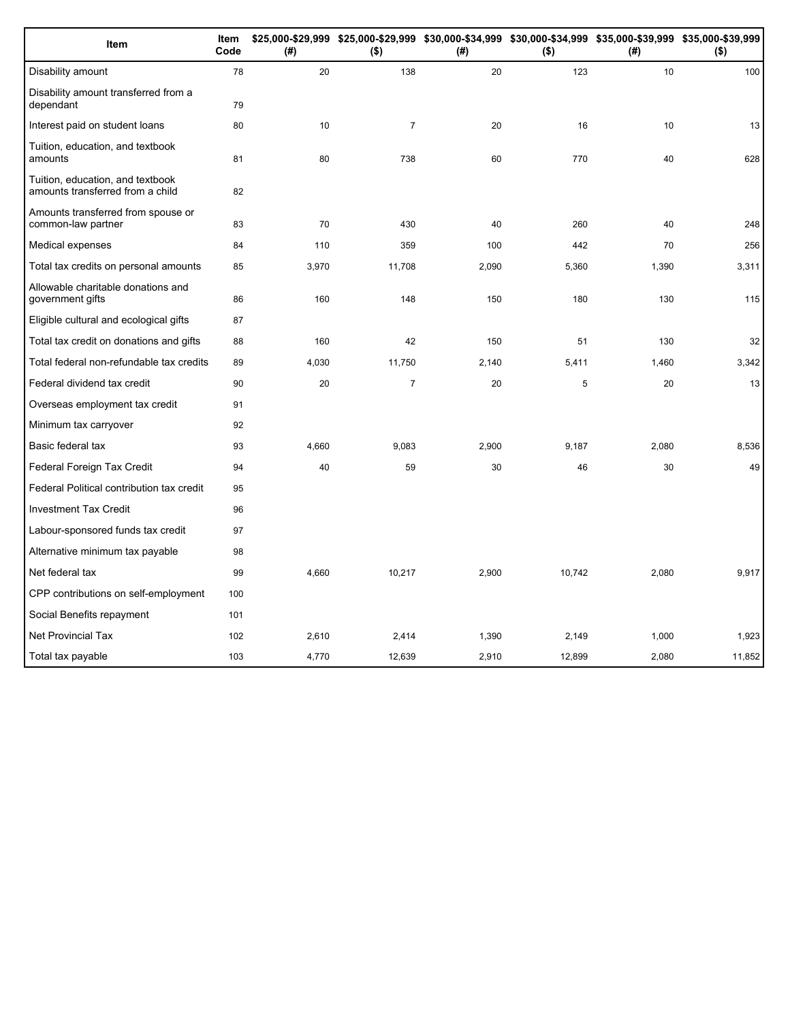| Item                                                                 | Item<br>Code | (#)   | \$25,000-\$29,999 \$25,000-\$29,999 \$30,000-\$34,999 \$30,000-\$34,999 \$35,000-\$39,999 \$35,000-\$39,999<br>$($ \$) | (# )  | $($ \$) | (#)   | $($ \$) |
|----------------------------------------------------------------------|--------------|-------|------------------------------------------------------------------------------------------------------------------------|-------|---------|-------|---------|
| Disability amount                                                    | 78           | 20    | 138                                                                                                                    | 20    | 123     | 10    | 100     |
| Disability amount transferred from a<br>dependant                    | 79           |       |                                                                                                                        |       |         |       |         |
| Interest paid on student loans                                       | 80           | 10    | $\overline{7}$                                                                                                         | 20    | 16      | 10    | 13      |
| Tuition, education, and textbook<br>amounts                          | 81           | 80    | 738                                                                                                                    | 60    | 770     | 40    | 628     |
| Tuition, education, and textbook<br>amounts transferred from a child | 82           |       |                                                                                                                        |       |         |       |         |
| Amounts transferred from spouse or<br>common-law partner             | 83           | 70    | 430                                                                                                                    | 40    | 260     | 40    | 248     |
| Medical expenses                                                     | 84           | 110   | 359                                                                                                                    | 100   | 442     | 70    | 256     |
| Total tax credits on personal amounts                                | 85           | 3,970 | 11,708                                                                                                                 | 2,090 | 5,360   | 1,390 | 3,311   |
| Allowable charitable donations and<br>government gifts               | 86           | 160   | 148                                                                                                                    | 150   | 180     | 130   | 115     |
| Eligible cultural and ecological gifts                               | 87           |       |                                                                                                                        |       |         |       |         |
| Total tax credit on donations and gifts                              | 88           | 160   | 42                                                                                                                     | 150   | 51      | 130   | 32      |
| Total federal non-refundable tax credits                             | 89           | 4,030 | 11,750                                                                                                                 | 2,140 | 5,411   | 1,460 | 3,342   |
| Federal dividend tax credit                                          | 90           | 20    | $\overline{\mathcal{I}}$                                                                                               | 20    | 5       | 20    | 13      |
| Overseas employment tax credit                                       | 91           |       |                                                                                                                        |       |         |       |         |
| Minimum tax carryover                                                | 92           |       |                                                                                                                        |       |         |       |         |
| Basic federal tax                                                    | 93           | 4.660 | 9,083                                                                                                                  | 2,900 | 9,187   | 2,080 | 8,536   |
| Federal Foreign Tax Credit                                           | 94           | 40    | 59                                                                                                                     | 30    | 46      | 30    | 49      |
| Federal Political contribution tax credit                            | 95           |       |                                                                                                                        |       |         |       |         |
| <b>Investment Tax Credit</b>                                         | 96           |       |                                                                                                                        |       |         |       |         |
| Labour-sponsored funds tax credit                                    | 97           |       |                                                                                                                        |       |         |       |         |
| Alternative minimum tax payable                                      | 98           |       |                                                                                                                        |       |         |       |         |
| Net federal tax                                                      | 99           | 4,660 | 10,217                                                                                                                 | 2,900 | 10,742  | 2,080 | 9,917   |
| CPP contributions on self-employment                                 | 100          |       |                                                                                                                        |       |         |       |         |
| Social Benefits repayment                                            | 101          |       |                                                                                                                        |       |         |       |         |
| <b>Net Provincial Tax</b>                                            | 102          | 2,610 | 2,414                                                                                                                  | 1,390 | 2,149   | 1,000 | 1,923   |
| Total tax payable                                                    | 103          | 4,770 | 12,639                                                                                                                 | 2,910 | 12,899  | 2,080 | 11,852  |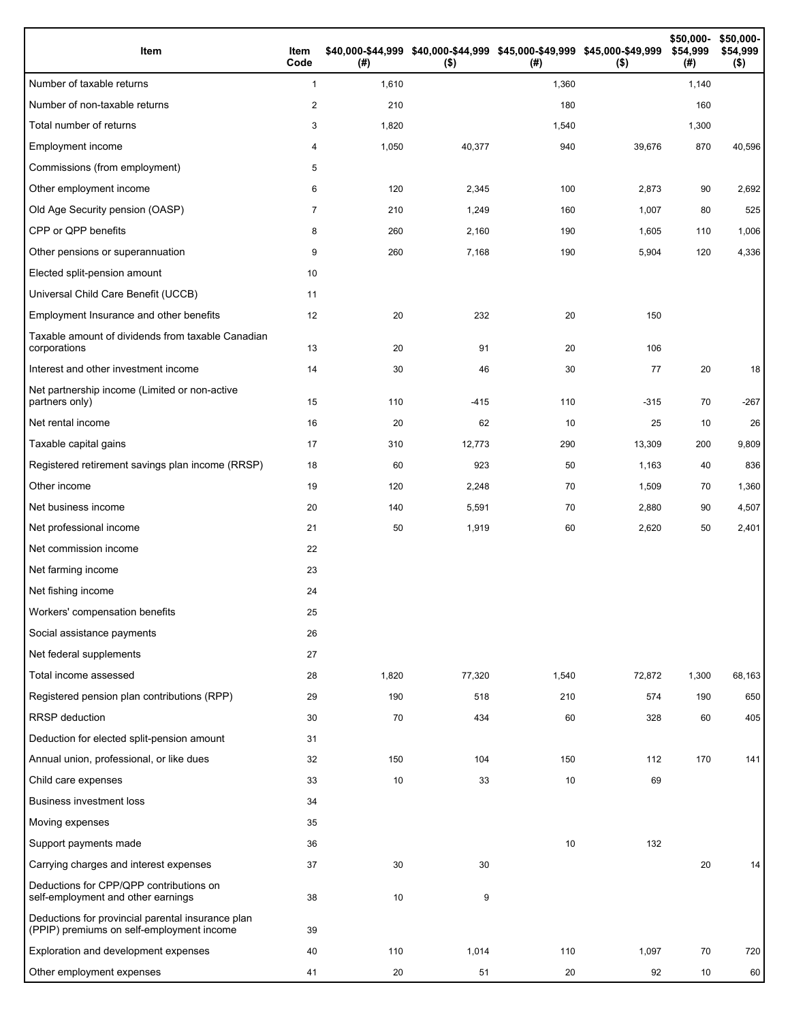| Item                                                                                           | Item<br>Code   | (#)   | \$40,000-\$44,999 \$40,000-\$44,999 \$45,000-\$49,999 \$45,000-\$49,999<br>$($ \$) | (#)   | $($ \$) | \$50,000-<br>\$54,999<br>(#) | \$50,000-<br>\$54,999<br>$($ \$) |
|------------------------------------------------------------------------------------------------|----------------|-------|------------------------------------------------------------------------------------|-------|---------|------------------------------|----------------------------------|
| Number of taxable returns                                                                      | $\mathbf{1}$   | 1,610 |                                                                                    | 1,360 |         | 1,140                        |                                  |
| Number of non-taxable returns                                                                  | 2              | 210   |                                                                                    | 180   |         | 160                          |                                  |
| Total number of returns                                                                        | 3              | 1,820 |                                                                                    | 1,540 |         | 1,300                        |                                  |
| Employment income                                                                              | 4              | 1,050 | 40,377                                                                             | 940   | 39,676  | 870                          | 40,596                           |
| Commissions (from employment)                                                                  | 5              |       |                                                                                    |       |         |                              |                                  |
| Other employment income                                                                        | 6              | 120   | 2,345                                                                              | 100   | 2,873   | 90                           | 2,692                            |
| Old Age Security pension (OASP)                                                                | $\overline{7}$ | 210   | 1,249                                                                              | 160   | 1,007   | 80                           | 525                              |
| CPP or QPP benefits                                                                            | 8              | 260   | 2,160                                                                              | 190   | 1,605   | 110                          | 1,006                            |
| Other pensions or superannuation                                                               | 9              | 260   | 7,168                                                                              | 190   | 5,904   | 120                          | 4,336                            |
| Elected split-pension amount                                                                   | 10             |       |                                                                                    |       |         |                              |                                  |
| Universal Child Care Benefit (UCCB)                                                            | 11             |       |                                                                                    |       |         |                              |                                  |
| Employment Insurance and other benefits                                                        | 12             | 20    | 232                                                                                | 20    | 150     |                              |                                  |
| Taxable amount of dividends from taxable Canadian<br>corporations                              | 13             | 20    | 91                                                                                 | 20    | 106     |                              |                                  |
| Interest and other investment income                                                           | 14             | 30    | 46                                                                                 | 30    | 77      | 20                           | 18                               |
| Net partnership income (Limited or non-active<br>partners only)                                | 15             | 110   | $-415$                                                                             | 110   | $-315$  | 70                           | $-267$                           |
| Net rental income                                                                              | 16             | 20    | 62                                                                                 | 10    | 25      | 10                           | 26                               |
| Taxable capital gains                                                                          | 17             | 310   | 12,773                                                                             | 290   | 13,309  | 200                          | 9,809                            |
| Registered retirement savings plan income (RRSP)                                               | 18             | 60    | 923                                                                                | 50    | 1,163   | 40                           | 836                              |
| Other income                                                                                   | 19             | 120   | 2,248                                                                              | 70    | 1,509   | 70                           | 1,360                            |
| Net business income                                                                            | 20             | 140   | 5,591                                                                              | 70    | 2,880   | 90                           | 4,507                            |
| Net professional income                                                                        | 21             | 50    | 1,919                                                                              | 60    | 2,620   | 50                           | 2,401                            |
| Net commission income                                                                          | 22             |       |                                                                                    |       |         |                              |                                  |
| Net farming income                                                                             | 23             |       |                                                                                    |       |         |                              |                                  |
| Net fishing income                                                                             | 24             |       |                                                                                    |       |         |                              |                                  |
| Workers' compensation benefits                                                                 | 25             |       |                                                                                    |       |         |                              |                                  |
| Social assistance payments                                                                     | 26             |       |                                                                                    |       |         |                              |                                  |
| Net federal supplements                                                                        | 27             |       |                                                                                    |       |         |                              |                                  |
| Total income assessed                                                                          | 28             | 1,820 | 77,320                                                                             | 1,540 | 72,872  | 1,300                        | 68,163                           |
| Registered pension plan contributions (RPP)                                                    | 29             | 190   | 518                                                                                | 210   | 574     | 190                          | 650                              |
| RRSP deduction                                                                                 | 30             | 70    | 434                                                                                | 60    | 328     | 60                           | 405                              |
| Deduction for elected split-pension amount                                                     | 31             |       |                                                                                    |       |         |                              |                                  |
| Annual union, professional, or like dues                                                       | 32             | 150   | 104                                                                                | 150   | 112     | 170                          | 141                              |
| Child care expenses                                                                            | 33             | 10    | 33                                                                                 | 10    | 69      |                              |                                  |
| <b>Business investment loss</b>                                                                | 34             |       |                                                                                    |       |         |                              |                                  |
| Moving expenses                                                                                | 35             |       |                                                                                    |       |         |                              |                                  |
| Support payments made                                                                          | 36             |       |                                                                                    | 10    | 132     |                              |                                  |
| Carrying charges and interest expenses                                                         | 37             | 30    | 30                                                                                 |       |         | 20                           | 14                               |
| Deductions for CPP/QPP contributions on<br>self-employment and other earnings                  | 38             | 10    | 9                                                                                  |       |         |                              |                                  |
| Deductions for provincial parental insurance plan<br>(PPIP) premiums on self-employment income | 39             |       |                                                                                    |       |         |                              |                                  |
| Exploration and development expenses                                                           | 40             | 110   | 1,014                                                                              | 110   | 1,097   | 70                           | 720                              |
| Other employment expenses                                                                      | 41             | 20    | 51                                                                                 | 20    | 92      | 10                           | 60                               |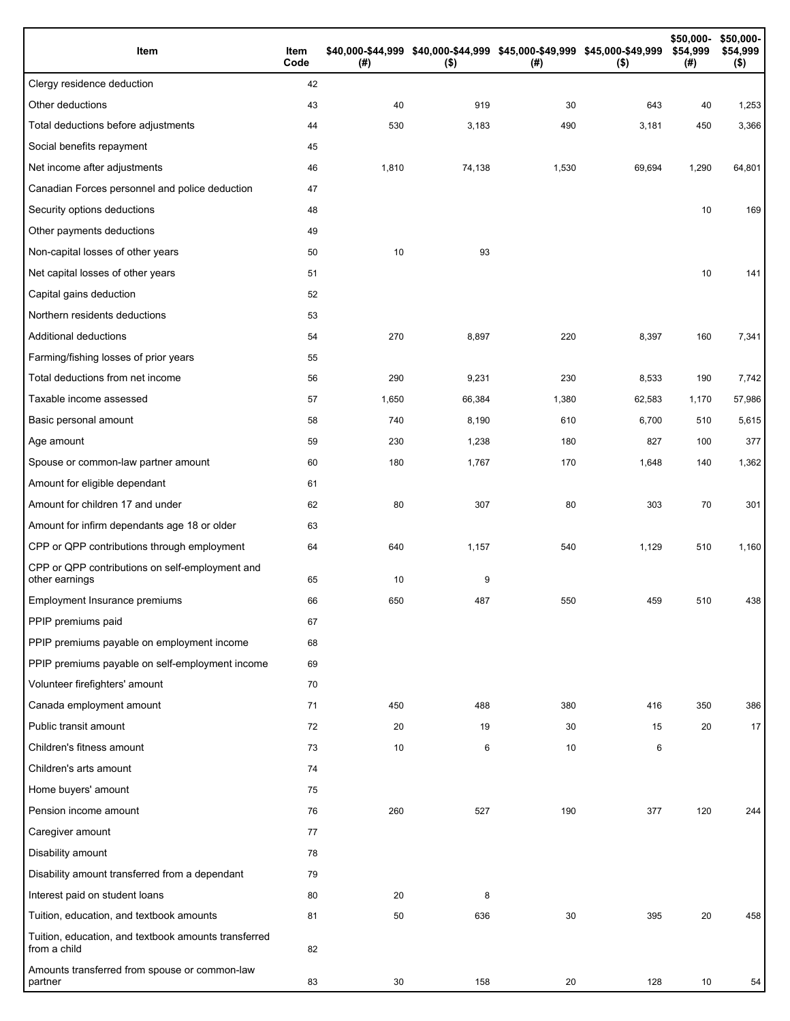| Item                                                                 | Item<br>Code | (# )  | \$40,000-\$44,999 \$40,000-\$44,999 \$45,000-\$49,999 \$45,000-\$49,999<br>$($ \$) | (#)   | $($ \$) | \$50,000-<br>\$54,999<br>(#) | \$50,000-<br>\$54,999<br>$($ \$) |
|----------------------------------------------------------------------|--------------|-------|------------------------------------------------------------------------------------|-------|---------|------------------------------|----------------------------------|
| Clergy residence deduction                                           | 42           |       |                                                                                    |       |         |                              |                                  |
| Other deductions                                                     | 43           | 40    | 919                                                                                | 30    | 643     | 40                           | 1,253                            |
| Total deductions before adjustments                                  | 44           | 530   | 3,183                                                                              | 490   | 3,181   | 450                          | 3,366                            |
| Social benefits repayment                                            | 45           |       |                                                                                    |       |         |                              |                                  |
| Net income after adjustments                                         | 46           | 1,810 | 74,138                                                                             | 1,530 | 69,694  | 1,290                        | 64,801                           |
| Canadian Forces personnel and police deduction                       | 47           |       |                                                                                    |       |         |                              |                                  |
| Security options deductions                                          | 48           |       |                                                                                    |       |         | 10                           | 169                              |
| Other payments deductions                                            | 49           |       |                                                                                    |       |         |                              |                                  |
| Non-capital losses of other years                                    | 50           | 10    | 93                                                                                 |       |         |                              |                                  |
| Net capital losses of other years                                    | 51           |       |                                                                                    |       |         | 10                           | 141                              |
| Capital gains deduction                                              | 52           |       |                                                                                    |       |         |                              |                                  |
| Northern residents deductions                                        | 53           |       |                                                                                    |       |         |                              |                                  |
| Additional deductions                                                | 54           | 270   | 8,897                                                                              | 220   | 8,397   | 160                          | 7,341                            |
| Farming/fishing losses of prior years                                | 55           |       |                                                                                    |       |         |                              |                                  |
| Total deductions from net income                                     | 56           | 290   | 9,231                                                                              | 230   | 8,533   | 190                          | 7,742                            |
| Taxable income assessed                                              | 57           | 1,650 | 66,384                                                                             | 1,380 | 62,583  | 1,170                        | 57,986                           |
| Basic personal amount                                                | 58           | 740   | 8,190                                                                              | 610   | 6,700   | 510                          | 5,615                            |
| Age amount                                                           | 59           | 230   | 1,238                                                                              | 180   | 827     | 100                          | 377                              |
| Spouse or common-law partner amount                                  | 60           | 180   | 1,767                                                                              | 170   | 1,648   | 140                          | 1,362                            |
| Amount for eligible dependant                                        | 61           |       |                                                                                    |       |         |                              |                                  |
| Amount for children 17 and under                                     | 62           | 80    | 307                                                                                | 80    | 303     | 70                           | 301                              |
| Amount for infirm dependants age 18 or older                         | 63           |       |                                                                                    |       |         |                              |                                  |
| CPP or QPP contributions through employment                          | 64           | 640   | 1,157                                                                              | 540   | 1,129   | 510                          | 1,160                            |
| CPP or QPP contributions on self-employment and<br>other earnings    | 65           | 10    | 9                                                                                  |       |         |                              |                                  |
| Employment Insurance premiums                                        | 66           | 650   | 487                                                                                | 550   | 459     | 510                          | 438                              |
| PPIP premiums paid                                                   | 67           |       |                                                                                    |       |         |                              |                                  |
| PPIP premiums payable on employment income                           | 68           |       |                                                                                    |       |         |                              |                                  |
| PPIP premiums payable on self-employment income                      | 69           |       |                                                                                    |       |         |                              |                                  |
| Volunteer firefighters' amount                                       | 70           |       |                                                                                    |       |         |                              |                                  |
| Canada employment amount                                             | 71           | 450   | 488                                                                                | 380   | 416     | 350                          | 386                              |
| Public transit amount                                                | 72           | 20    | 19                                                                                 | 30    | 15      | 20                           | 17                               |
| Children's fitness amount                                            | 73           | 10    | 6                                                                                  | 10    | 6       |                              |                                  |
| Children's arts amount                                               | 74           |       |                                                                                    |       |         |                              |                                  |
| Home buyers' amount                                                  | 75           |       |                                                                                    |       |         |                              |                                  |
| Pension income amount                                                | 76           | 260   | 527                                                                                | 190   | 377     | 120                          | 244                              |
| Caregiver amount                                                     | 77           |       |                                                                                    |       |         |                              |                                  |
| Disability amount                                                    | 78           |       |                                                                                    |       |         |                              |                                  |
| Disability amount transferred from a dependant                       | 79           |       |                                                                                    |       |         |                              |                                  |
| Interest paid on student loans                                       | 80           | 20    | 8                                                                                  |       |         |                              |                                  |
| Tuition, education, and textbook amounts                             | 81           | 50    | 636                                                                                | 30    | 395     | 20                           | 458                              |
| Tuition, education, and textbook amounts transferred<br>from a child | 82           |       |                                                                                    |       |         |                              |                                  |
| Amounts transferred from spouse or common-law<br>partner             | 83           | 30    | 158                                                                                | 20    | 128     | 10                           | 54                               |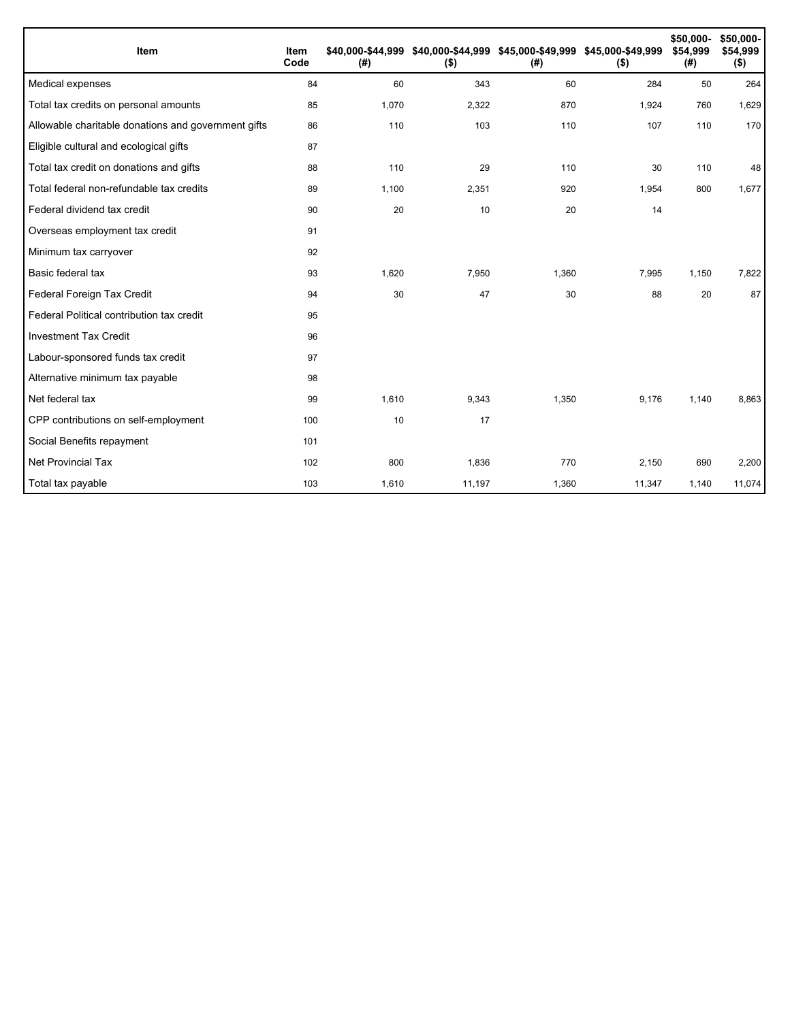| Item                                                | Item<br>Code | (#)   | \$40,000-\$44,999 \$40,000-\$44,999 \$45,000-\$49,999 \$45,000-\$49,999<br>$($ \$) | (#)   | $($ \$) | \$50,000-<br>\$54,999<br>(#) | \$50,000-<br>\$54,999<br>$($ \$) |
|-----------------------------------------------------|--------------|-------|------------------------------------------------------------------------------------|-------|---------|------------------------------|----------------------------------|
| Medical expenses                                    | 84           | 60    | 343                                                                                | 60    | 284     | 50                           | 264                              |
| Total tax credits on personal amounts               | 85           | 1,070 | 2,322                                                                              | 870   | 1,924   | 760                          | 1,629                            |
| Allowable charitable donations and government gifts | 86           | 110   | 103                                                                                | 110   | 107     | 110                          | 170                              |
| Eligible cultural and ecological gifts              | 87           |       |                                                                                    |       |         |                              |                                  |
| Total tax credit on donations and gifts             | 88           | 110   | 29                                                                                 | 110   | 30      | 110                          | 48                               |
| Total federal non-refundable tax credits            | 89           | 1,100 | 2,351                                                                              | 920   | 1,954   | 800                          | 1,677                            |
| Federal dividend tax credit                         | 90           | 20    | 10                                                                                 | 20    | 14      |                              |                                  |
| Overseas employment tax credit                      | 91           |       |                                                                                    |       |         |                              |                                  |
| Minimum tax carryover                               | 92           |       |                                                                                    |       |         |                              |                                  |
| Basic federal tax                                   | 93           | 1,620 | 7,950                                                                              | 1,360 | 7,995   | 1,150                        | 7,822                            |
| Federal Foreign Tax Credit                          | 94           | 30    | 47                                                                                 | 30    | 88      | 20                           | 87                               |
| Federal Political contribution tax credit           | 95           |       |                                                                                    |       |         |                              |                                  |
| <b>Investment Tax Credit</b>                        | 96           |       |                                                                                    |       |         |                              |                                  |
| Labour-sponsored funds tax credit                   | 97           |       |                                                                                    |       |         |                              |                                  |
| Alternative minimum tax payable                     | 98           |       |                                                                                    |       |         |                              |                                  |
| Net federal tax                                     | 99           | 1,610 | 9,343                                                                              | 1,350 | 9,176   | 1,140                        | 8,863                            |
| CPP contributions on self-employment                | 100          | 10    | 17                                                                                 |       |         |                              |                                  |
| Social Benefits repayment                           | 101          |       |                                                                                    |       |         |                              |                                  |
| Net Provincial Tax                                  | 102          | 800   | 1,836                                                                              | 770   | 2,150   | 690                          | 2,200                            |
| Total tax payable                                   | 103          | 1,610 | 11,197                                                                             | 1,360 | 11,347  | 1,140                        | 11,074                           |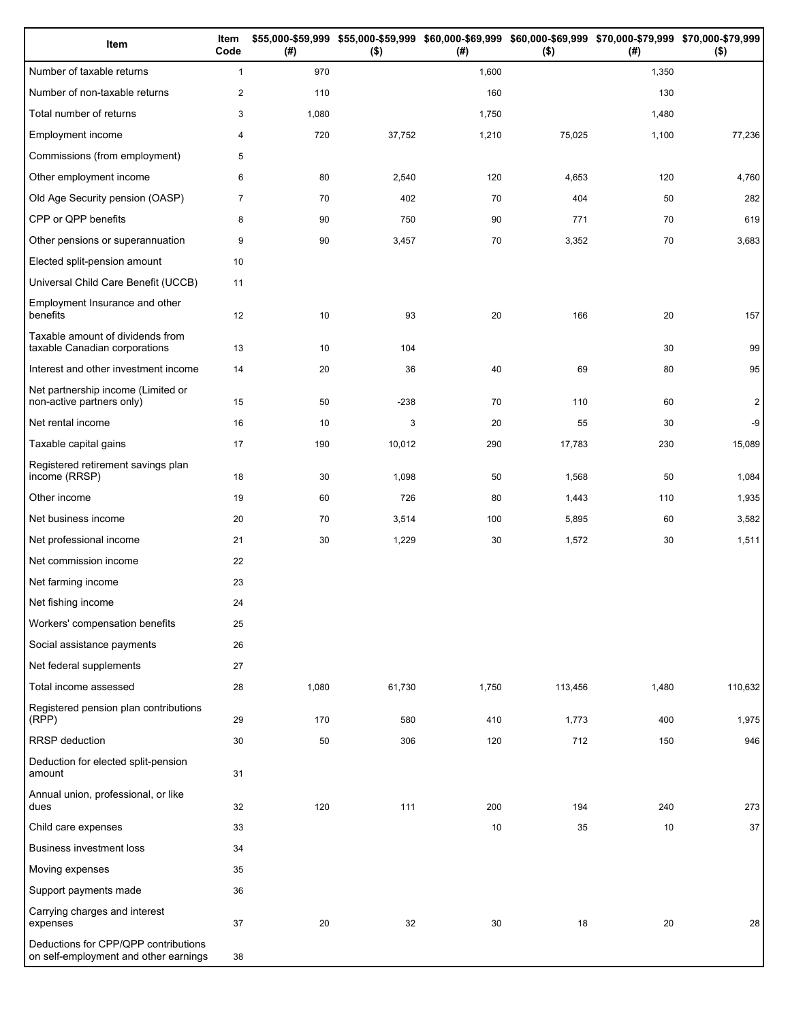| Item                                                                          | Item<br>Code   | (#)   | $($ \$) | (#)   | \$55,000-\$59,999 \$55,000-\$59,999 \$60,000-\$69,999 \$60,000-\$69,999 \$70,000-\$79,999 \$70,000-\$79,999<br>$($ \$) | (# )  | $($ \$)        |
|-------------------------------------------------------------------------------|----------------|-------|---------|-------|------------------------------------------------------------------------------------------------------------------------|-------|----------------|
| Number of taxable returns                                                     | $\mathbf{1}$   | 970   |         | 1,600 |                                                                                                                        | 1,350 |                |
| Number of non-taxable returns                                                 | $\overline{c}$ | 110   |         | 160   |                                                                                                                        | 130   |                |
| Total number of returns                                                       | 3              | 1,080 |         | 1,750 |                                                                                                                        | 1,480 |                |
| Employment income                                                             | 4              | 720   | 37,752  | 1,210 | 75,025                                                                                                                 | 1,100 | 77,236         |
| Commissions (from employment)                                                 | 5              |       |         |       |                                                                                                                        |       |                |
| Other employment income                                                       | 6              | 80    | 2,540   | 120   | 4,653                                                                                                                  | 120   | 4,760          |
| Old Age Security pension (OASP)                                               | $\overline{7}$ | 70    | 402     | 70    | 404                                                                                                                    | 50    | 282            |
| CPP or QPP benefits                                                           | 8              | 90    | 750     | 90    | 771                                                                                                                    | 70    | 619            |
| Other pensions or superannuation                                              | 9              | 90    | 3,457   | 70    | 3,352                                                                                                                  | 70    | 3,683          |
| Elected split-pension amount                                                  | 10             |       |         |       |                                                                                                                        |       |                |
| Universal Child Care Benefit (UCCB)                                           | 11             |       |         |       |                                                                                                                        |       |                |
| Employment Insurance and other<br>benefits                                    | 12             | 10    | 93      | 20    | 166                                                                                                                    | 20    | 157            |
| Taxable amount of dividends from<br>taxable Canadian corporations             | 13             | 10    | 104     |       |                                                                                                                        | 30    | 99             |
| Interest and other investment income                                          | 14             | 20    | 36      | 40    | 69                                                                                                                     | 80    | 95             |
| Net partnership income (Limited or<br>non-active partners only)               | 15             | 50    | $-238$  | 70    | 110                                                                                                                    | 60    | $\overline{2}$ |
| Net rental income                                                             | 16             | 10    | 3       | 20    | 55                                                                                                                     | 30    | -9             |
| Taxable capital gains                                                         | 17             | 190   | 10,012  | 290   | 17,783                                                                                                                 | 230   | 15,089         |
| Registered retirement savings plan<br>income (RRSP)                           | 18             | 30    | 1,098   | 50    | 1,568                                                                                                                  | 50    | 1,084          |
| Other income                                                                  | 19             | 60    | 726     | 80    | 1,443                                                                                                                  | 110   | 1,935          |
| Net business income                                                           | 20             | 70    | 3,514   | 100   | 5,895                                                                                                                  | 60    | 3,582          |
| Net professional income                                                       | 21             | 30    | 1,229   | 30    | 1,572                                                                                                                  | 30    | 1,511          |
| Net commission income                                                         | 22             |       |         |       |                                                                                                                        |       |                |
| Net farming income                                                            | 23             |       |         |       |                                                                                                                        |       |                |
| Net fishing income                                                            | 24             |       |         |       |                                                                                                                        |       |                |
| Workers' compensation benefits                                                | 25             |       |         |       |                                                                                                                        |       |                |
| Social assistance payments                                                    | 26             |       |         |       |                                                                                                                        |       |                |
| Net federal supplements                                                       | 27             |       |         |       |                                                                                                                        |       |                |
| Total income assessed                                                         | 28             | 1,080 | 61,730  | 1,750 | 113,456                                                                                                                | 1,480 | 110,632        |
| Registered pension plan contributions<br>(RPP)                                | 29             | 170   | 580     | 410   | 1,773                                                                                                                  | 400   | 1,975          |
| RRSP deduction                                                                | 30             | 50    | 306     | 120   | 712                                                                                                                    | 150   | 946            |
| Deduction for elected split-pension<br>amount                                 | 31             |       |         |       |                                                                                                                        |       |                |
| Annual union, professional, or like<br>dues                                   | 32             | 120   | 111     | 200   | 194                                                                                                                    | 240   | 273            |
| Child care expenses                                                           | 33             |       |         | 10    | 35                                                                                                                     | 10    | 37             |
| <b>Business investment loss</b>                                               | 34             |       |         |       |                                                                                                                        |       |                |
| Moving expenses                                                               | 35             |       |         |       |                                                                                                                        |       |                |
| Support payments made                                                         | 36             |       |         |       |                                                                                                                        |       |                |
| Carrying charges and interest<br>expenses                                     | 37             | 20    | 32      | 30    | 18                                                                                                                     | 20    | 28             |
| Deductions for CPP/QPP contributions<br>on self-employment and other earnings | 38             |       |         |       |                                                                                                                        |       |                |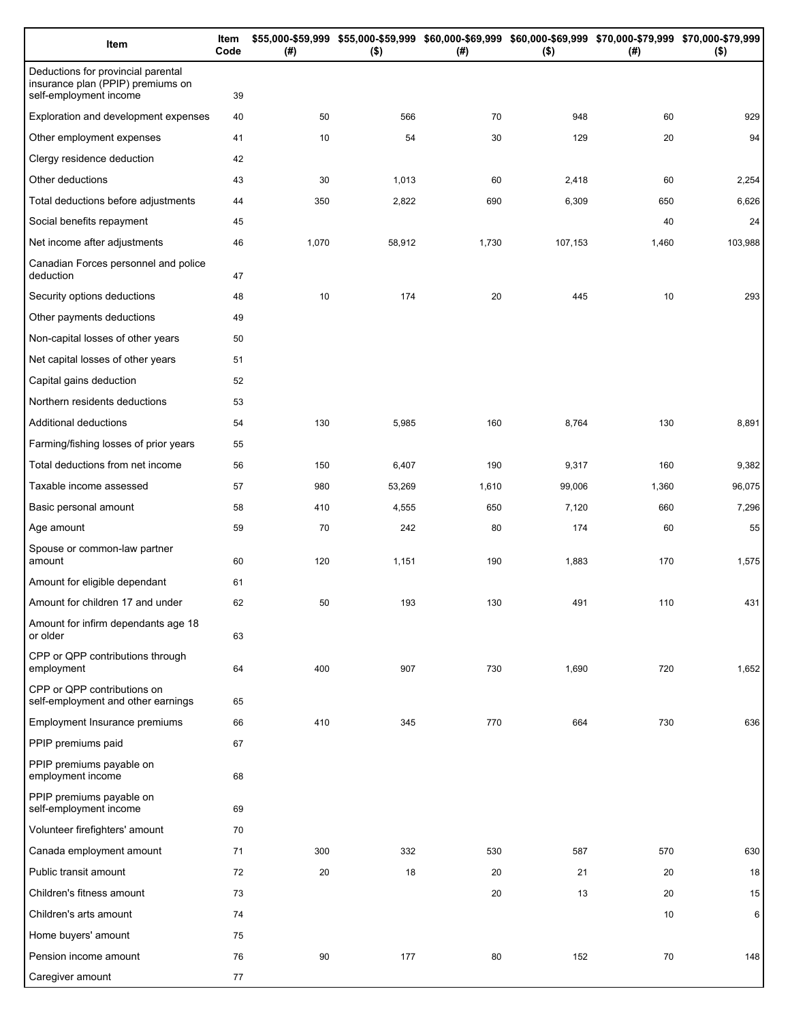| Item                                                                                              | Item<br>Code | (#)   | $($ \$) | \$55,000-\$59,999 \$55,000-\$59,999 \$60,000-\$69,999 \$60,000-\$69,999 \$70,000-\$79,999 \$70,000-\$79,999<br>(#) | $($ \$) | (# )  | $($ \$) |
|---------------------------------------------------------------------------------------------------|--------------|-------|---------|--------------------------------------------------------------------------------------------------------------------|---------|-------|---------|
| Deductions for provincial parental<br>insurance plan (PPIP) premiums on<br>self-employment income | 39           |       |         |                                                                                                                    |         |       |         |
| Exploration and development expenses                                                              | 40           | 50    | 566     | 70                                                                                                                 | 948     | 60    | 929     |
| Other employment expenses                                                                         | 41           | 10    | 54      | 30                                                                                                                 | 129     | 20    | 94      |
| Clergy residence deduction                                                                        | 42           |       |         |                                                                                                                    |         |       |         |
| Other deductions                                                                                  | 43           | 30    | 1,013   | 60                                                                                                                 | 2,418   | 60    | 2,254   |
| Total deductions before adjustments                                                               | 44           | 350   | 2,822   | 690                                                                                                                | 6,309   | 650   | 6,626   |
| Social benefits repayment                                                                         | 45           |       |         |                                                                                                                    |         | 40    | 24      |
| Net income after adjustments                                                                      | 46           | 1,070 | 58,912  | 1,730                                                                                                              | 107,153 | 1,460 | 103,988 |
| Canadian Forces personnel and police<br>deduction                                                 | 47           |       |         |                                                                                                                    |         |       |         |
| Security options deductions                                                                       | 48           | 10    | 174     | 20                                                                                                                 | 445     | 10    | 293     |
| Other payments deductions                                                                         | 49           |       |         |                                                                                                                    |         |       |         |
| Non-capital losses of other years                                                                 | 50           |       |         |                                                                                                                    |         |       |         |
| Net capital losses of other years                                                                 | 51           |       |         |                                                                                                                    |         |       |         |
| Capital gains deduction                                                                           | 52           |       |         |                                                                                                                    |         |       |         |
| Northern residents deductions                                                                     | 53           |       |         |                                                                                                                    |         |       |         |
| Additional deductions                                                                             | 54           | 130   | 5,985   | 160                                                                                                                | 8,764   | 130   | 8,891   |
| Farming/fishing losses of prior years                                                             | 55           |       |         |                                                                                                                    |         |       |         |
| Total deductions from net income                                                                  | 56           | 150   | 6,407   | 190                                                                                                                | 9,317   | 160   | 9,382   |
| Taxable income assessed                                                                           | 57           | 980   | 53,269  | 1,610                                                                                                              | 99,006  | 1,360 | 96,075  |
| Basic personal amount                                                                             | 58           | 410   | 4,555   | 650                                                                                                                | 7,120   | 660   | 7,296   |
| Age amount                                                                                        | 59           | 70    | 242     | 80                                                                                                                 | 174     | 60    | 55      |
| Spouse or common-law partner<br>amount                                                            | 60           | 120   | 1,151   | 190                                                                                                                | 1,883   | 170   | 1,575   |
| Amount for eligible dependant                                                                     | 61           |       |         |                                                                                                                    |         |       |         |
| Amount for children 17 and under                                                                  | 62           | 50    | 193     | 130                                                                                                                | 491     | 110   | 431     |
| Amount for infirm dependants age 18<br>or older                                                   | 63           |       |         |                                                                                                                    |         |       |         |
| CPP or QPP contributions through<br>employment                                                    | 64           | 400   | 907     | 730                                                                                                                | 1,690   | 720   | 1,652   |
| CPP or QPP contributions on<br>self-employment and other earnings                                 | 65           |       |         |                                                                                                                    |         |       |         |
| <b>Employment Insurance premiums</b>                                                              | 66           | 410   | 345     | 770                                                                                                                | 664     | 730   | 636     |
| PPIP premiums paid                                                                                | 67           |       |         |                                                                                                                    |         |       |         |
| PPIP premiums payable on<br>employment income                                                     | 68           |       |         |                                                                                                                    |         |       |         |
| PPIP premiums payable on<br>self-employment income                                                | 69           |       |         |                                                                                                                    |         |       |         |
| Volunteer firefighters' amount                                                                    | 70           |       |         |                                                                                                                    |         |       |         |
| Canada employment amount                                                                          | 71           | 300   | 332     | 530                                                                                                                | 587     | 570   | 630     |
| Public transit amount                                                                             | 72           | 20    | 18      | 20                                                                                                                 | 21      | 20    | 18      |
| Children's fitness amount                                                                         | 73           |       |         | 20                                                                                                                 | 13      | 20    | 15      |
| Children's arts amount                                                                            | 74           |       |         |                                                                                                                    |         | 10    | 6       |
| Home buyers' amount                                                                               | 75           |       |         |                                                                                                                    |         |       |         |
| Pension income amount                                                                             | 76           | 90    | 177     | 80                                                                                                                 | 152     | 70    | 148     |
| Caregiver amount                                                                                  | 77           |       |         |                                                                                                                    |         |       |         |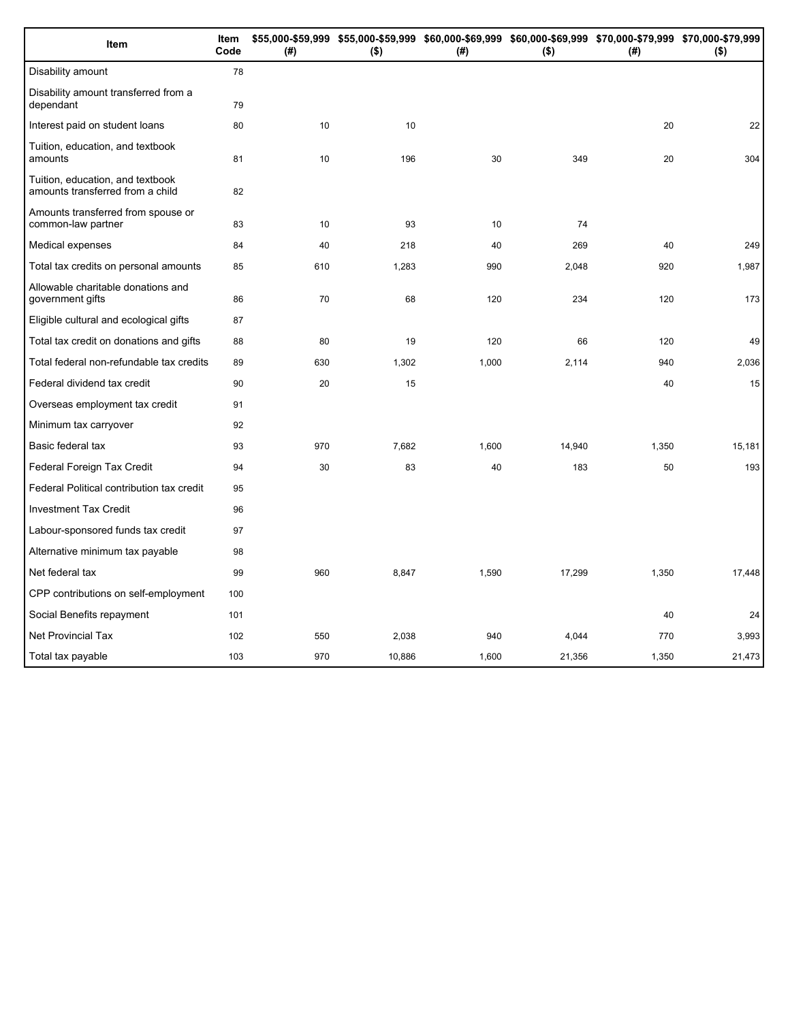| Item                                                                 | Item<br>Code | (# ) | \$55,000-\$59,999 \$55,000-\$59,999 \$60,000-\$69,999 \$60,000-\$69,999 \$70,000-\$79,999 \$70,000-\$79,999<br>$($ \$) | (#)   | $($ \$) | (#)   | $($ \$) |
|----------------------------------------------------------------------|--------------|------|------------------------------------------------------------------------------------------------------------------------|-------|---------|-------|---------|
| Disability amount                                                    | 78           |      |                                                                                                                        |       |         |       |         |
| Disability amount transferred from a<br>dependant                    | 79           |      |                                                                                                                        |       |         |       |         |
| Interest paid on student loans                                       | 80           | 10   | 10                                                                                                                     |       |         | 20    | 22      |
| Tuition, education, and textbook<br>amounts                          | 81           | 10   | 196                                                                                                                    | 30    | 349     | 20    | 304     |
| Tuition, education, and textbook<br>amounts transferred from a child | 82           |      |                                                                                                                        |       |         |       |         |
| Amounts transferred from spouse or<br>common-law partner             | 83           | 10   | 93                                                                                                                     | 10    | 74      |       |         |
| Medical expenses                                                     | 84           | 40   | 218                                                                                                                    | 40    | 269     | 40    | 249     |
| Total tax credits on personal amounts                                | 85           | 610  | 1,283                                                                                                                  | 990   | 2,048   | 920   | 1,987   |
| Allowable charitable donations and<br>government gifts               | 86           | 70   | 68                                                                                                                     | 120   | 234     | 120   | 173     |
| Eligible cultural and ecological gifts                               | 87           |      |                                                                                                                        |       |         |       |         |
| Total tax credit on donations and gifts                              | 88           | 80   | 19                                                                                                                     | 120   | 66      | 120   | 49      |
| Total federal non-refundable tax credits                             | 89           | 630  | 1,302                                                                                                                  | 1,000 | 2,114   | 940   | 2,036   |
| Federal dividend tax credit                                          | 90           | 20   | 15                                                                                                                     |       |         | 40    | 15      |
| Overseas employment tax credit                                       | 91           |      |                                                                                                                        |       |         |       |         |
| Minimum tax carryover                                                | 92           |      |                                                                                                                        |       |         |       |         |
| Basic federal tax                                                    | 93           | 970  | 7,682                                                                                                                  | 1,600 | 14,940  | 1,350 | 15,181  |
| Federal Foreign Tax Credit                                           | 94           | 30   | 83                                                                                                                     | 40    | 183     | 50    | 193     |
| Federal Political contribution tax credit                            | 95           |      |                                                                                                                        |       |         |       |         |
| <b>Investment Tax Credit</b>                                         | 96           |      |                                                                                                                        |       |         |       |         |
| Labour-sponsored funds tax credit                                    | 97           |      |                                                                                                                        |       |         |       |         |
| Alternative minimum tax payable                                      | 98           |      |                                                                                                                        |       |         |       |         |
| Net federal tax                                                      | 99           | 960  | 8,847                                                                                                                  | 1,590 | 17,299  | 1,350 | 17,448  |
| CPP contributions on self-employment                                 | 100          |      |                                                                                                                        |       |         |       |         |
| Social Benefits repayment                                            | 101          |      |                                                                                                                        |       |         | 40    | 24      |
| <b>Net Provincial Tax</b>                                            | 102          | 550  | 2,038                                                                                                                  | 940   | 4,044   | 770   | 3,993   |
| Total tax payable                                                    | 103          | 970  | 10,886                                                                                                                 | 1,600 | 21,356  | 1,350 | 21,473  |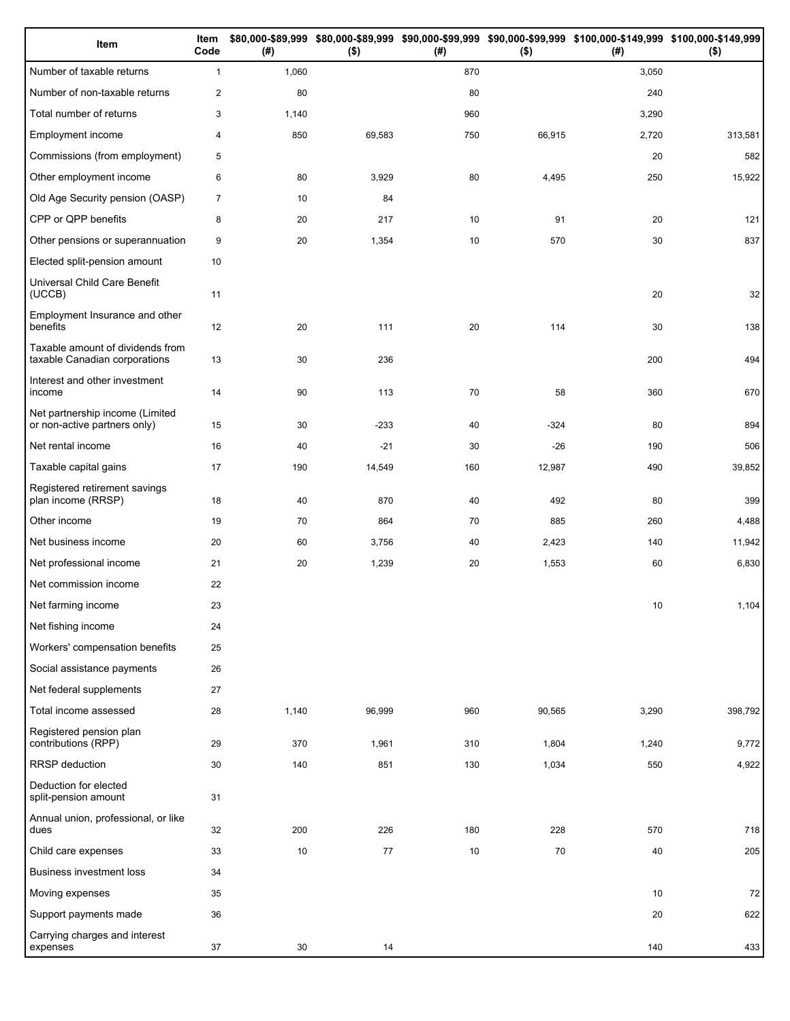| Item                                                              | Item<br>Code   | (# )  | $($ \$) | (#) | $($ \$) | \$80,000-\$89,999 \$80,000-\$89,999 \$90,000-\$99,999 \$90,000-\$99,999 \$100,000-\$149,999 \$100,000-\$149,999<br>(#) | $($ \$) |
|-------------------------------------------------------------------|----------------|-------|---------|-----|---------|------------------------------------------------------------------------------------------------------------------------|---------|
| Number of taxable returns                                         | $\mathbf{1}$   | 1,060 |         | 870 |         | 3,050                                                                                                                  |         |
| Number of non-taxable returns                                     | $\mathbf{2}$   | 80    |         | 80  |         | 240                                                                                                                    |         |
| Total number of returns                                           | 3              | 1,140 |         | 960 |         | 3,290                                                                                                                  |         |
| Employment income                                                 | 4              | 850   | 69,583  | 750 | 66,915  | 2,720                                                                                                                  | 313,581 |
| Commissions (from employment)                                     | 5              |       |         |     |         | 20                                                                                                                     | 582     |
| Other employment income                                           | 6              | 80    | 3,929   | 80  | 4,495   | 250                                                                                                                    | 15,922  |
| Old Age Security pension (OASP)                                   | $\overline{7}$ | 10    | 84      |     |         |                                                                                                                        |         |
| CPP or QPP benefits                                               | 8              | 20    | 217     | 10  | 91      | 20                                                                                                                     | 121     |
| Other pensions or superannuation                                  | 9              | 20    | 1,354   | 10  | 570     | 30                                                                                                                     | 837     |
| Elected split-pension amount                                      | 10             |       |         |     |         |                                                                                                                        |         |
| Universal Child Care Benefit<br>(UCCB)                            | 11             |       |         |     |         | 20                                                                                                                     | 32      |
| Employment Insurance and other<br>benefits                        | 12             | 20    | 111     | 20  | 114     | 30                                                                                                                     | 138     |
| Taxable amount of dividends from<br>taxable Canadian corporations | 13             | 30    | 236     |     |         | 200                                                                                                                    | 494     |
| Interest and other investment<br>income                           | 14             | 90    | 113     | 70  | 58      | 360                                                                                                                    | 670     |
| Net partnership income (Limited<br>or non-active partners only)   | 15             | 30    | $-233$  | 40  | $-324$  | 80                                                                                                                     | 894     |
| Net rental income                                                 | 16             | 40    | $-21$   | 30  | $-26$   | 190                                                                                                                    | 506     |
| Taxable capital gains                                             | 17             | 190   | 14,549  | 160 | 12,987  | 490                                                                                                                    | 39,852  |
| Registered retirement savings<br>plan income (RRSP)               | 18             | 40    | 870     | 40  | 492     | 80                                                                                                                     | 399     |
| Other income                                                      | 19             | 70    | 864     | 70  | 885     | 260                                                                                                                    | 4,488   |
| Net business income                                               | 20             | 60    | 3,756   | 40  | 2,423   | 140                                                                                                                    | 11,942  |
| Net professional income                                           | 21             | 20    | 1,239   | 20  | 1,553   | 60                                                                                                                     | 6,830   |
| Net commission income                                             | 22             |       |         |     |         |                                                                                                                        |         |
| Net farming income                                                | 23             |       |         |     |         | 10                                                                                                                     | 1,104   |
| Net fishing income                                                | 24             |       |         |     |         |                                                                                                                        |         |
| Workers' compensation benefits                                    | 25             |       |         |     |         |                                                                                                                        |         |
| Social assistance payments                                        | 26             |       |         |     |         |                                                                                                                        |         |
| Net federal supplements                                           | 27             |       |         |     |         |                                                                                                                        |         |
| Total income assessed                                             | 28             | 1,140 | 96,999  | 960 | 90,565  | 3,290                                                                                                                  | 398,792 |
| Registered pension plan<br>contributions (RPP)                    | 29             | 370   | 1,961   | 310 | 1,804   | 1,240                                                                                                                  | 9,772   |
| RRSP deduction                                                    | 30             | 140   | 851     | 130 | 1,034   | 550                                                                                                                    | 4,922   |
| Deduction for elected<br>split-pension amount                     | 31             |       |         |     |         |                                                                                                                        |         |
| Annual union, professional, or like<br>dues                       | 32             | 200   | 226     | 180 | 228     | 570                                                                                                                    | 718     |
| Child care expenses                                               | 33             | 10    | 77      | 10  | 70      | 40                                                                                                                     | 205     |
| Business investment loss                                          | 34             |       |         |     |         |                                                                                                                        |         |
| Moving expenses                                                   | 35             |       |         |     |         | 10                                                                                                                     | 72      |
| Support payments made                                             | 36             |       |         |     |         | 20                                                                                                                     | 622     |
| Carrying charges and interest<br>expenses                         | 37             | 30    | 14      |     |         | 140                                                                                                                    | 433     |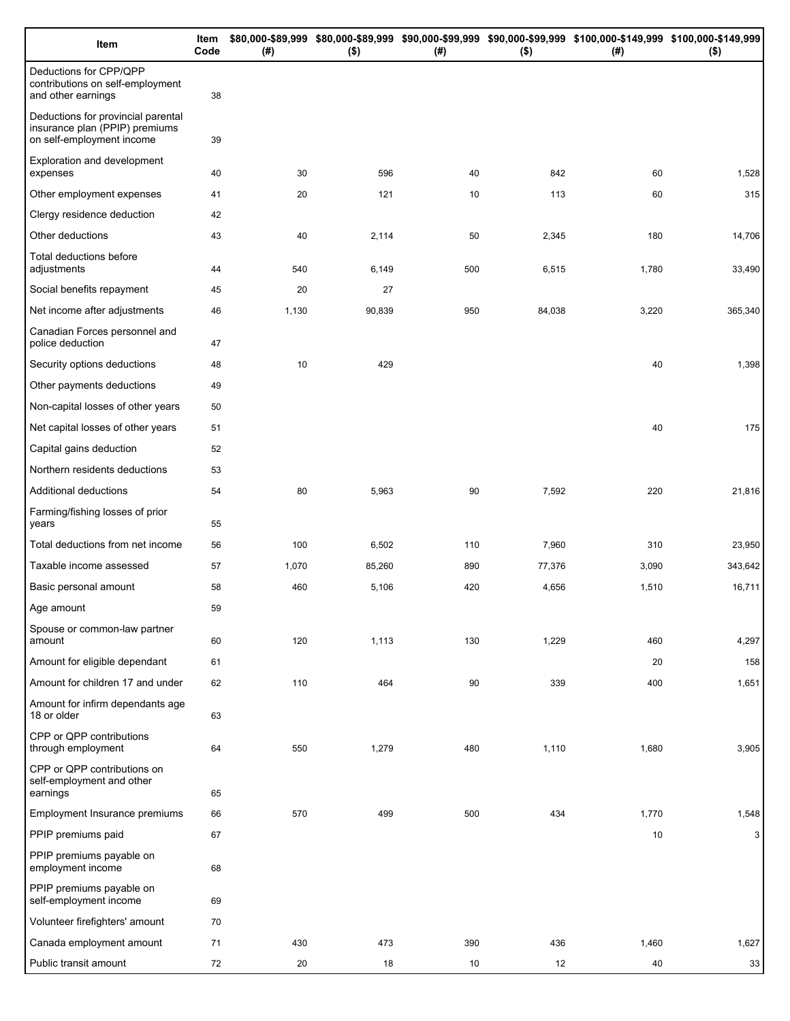| Item                                                                                              | Item<br>Code | (# )  | $($ \$) | (# ) | $($ \$) | \$80,000-\$89,999 \$80,000-\$89,999 \$90,000-\$99,999 \$90,000-\$99,999 \$100,000-\$149,999 \$100,000-\$149,999<br>(#) | $($ \$) |
|---------------------------------------------------------------------------------------------------|--------------|-------|---------|------|---------|------------------------------------------------------------------------------------------------------------------------|---------|
| Deductions for CPP/QPP<br>contributions on self-employment<br>and other earnings                  | 38           |       |         |      |         |                                                                                                                        |         |
| Deductions for provincial parental<br>insurance plan (PPIP) premiums<br>on self-employment income | 39           |       |         |      |         |                                                                                                                        |         |
| Exploration and development<br>expenses                                                           | 40           | 30    | 596     | 40   | 842     | 60                                                                                                                     | 1,528   |
| Other employment expenses                                                                         | 41           | 20    | 121     | 10   | 113     | 60                                                                                                                     | 315     |
| Clergy residence deduction                                                                        | 42           |       |         |      |         |                                                                                                                        |         |
| Other deductions                                                                                  | 43           | 40    | 2,114   | 50   | 2,345   | 180                                                                                                                    | 14,706  |
| Total deductions before<br>adjustments                                                            | 44           | 540   | 6,149   | 500  | 6,515   | 1,780                                                                                                                  | 33,490  |
| Social benefits repayment                                                                         | 45           | 20    | 27      |      |         |                                                                                                                        |         |
| Net income after adjustments                                                                      | 46           | 1,130 | 90,839  | 950  | 84,038  | 3,220                                                                                                                  | 365,340 |
| Canadian Forces personnel and<br>police deduction                                                 | 47           |       |         |      |         |                                                                                                                        |         |
| Security options deductions                                                                       | 48           | 10    | 429     |      |         | 40                                                                                                                     | 1,398   |
| Other payments deductions                                                                         | 49           |       |         |      |         |                                                                                                                        |         |
| Non-capital losses of other years                                                                 | 50           |       |         |      |         |                                                                                                                        |         |
| Net capital losses of other years                                                                 | 51           |       |         |      |         | 40                                                                                                                     | 175     |
| Capital gains deduction                                                                           | 52           |       |         |      |         |                                                                                                                        |         |
| Northern residents deductions                                                                     | 53           |       |         |      |         |                                                                                                                        |         |
| Additional deductions                                                                             | 54           | 80    | 5,963   | 90   | 7,592   | 220                                                                                                                    | 21,816  |
| Farming/fishing losses of prior<br>years                                                          | 55           |       |         |      |         |                                                                                                                        |         |
| Total deductions from net income                                                                  | 56           | 100   | 6,502   | 110  | 7,960   | 310                                                                                                                    | 23,950  |
| Taxable income assessed                                                                           | 57           | 1,070 | 85,260  | 890  | 77,376  | 3,090                                                                                                                  | 343,642 |
| Basic personal amount                                                                             | 58           | 460   | 5,106   | 420  | 4,656   | 1,510                                                                                                                  | 16,711  |
| Age amount                                                                                        | 59           |       |         |      |         |                                                                                                                        |         |
| Spouse or common-law partner<br>amount                                                            | 60           | 120   | 1,113   | 130  | 1,229   | 460                                                                                                                    | 4,297   |
| Amount for eligible dependant                                                                     | 61           |       |         |      |         | 20                                                                                                                     | 158     |
| Amount for children 17 and under                                                                  | 62           | 110   | 464     | 90   | 339     | 400                                                                                                                    | 1,651   |
| Amount for infirm dependants age<br>18 or older                                                   | 63           |       |         |      |         |                                                                                                                        |         |
| CPP or QPP contributions<br>through employment                                                    | 64           | 550   | 1,279   | 480  | 1,110   | 1,680                                                                                                                  | 3,905   |
| CPP or QPP contributions on<br>self-employment and other<br>earnings                              | 65           |       |         |      |         |                                                                                                                        |         |
| Employment Insurance premiums                                                                     | 66           | 570   | 499     | 500  | 434     | 1,770                                                                                                                  | 1,548   |
| PPIP premiums paid                                                                                | 67           |       |         |      |         | 10                                                                                                                     | 3       |
| PPIP premiums payable on<br>employment income                                                     | 68           |       |         |      |         |                                                                                                                        |         |
| PPIP premiums payable on<br>self-employment income                                                | 69           |       |         |      |         |                                                                                                                        |         |
| Volunteer firefighters' amount                                                                    | 70           |       |         |      |         |                                                                                                                        |         |
| Canada employment amount                                                                          | 71           | 430   | 473     | 390  | 436     | 1,460                                                                                                                  | 1,627   |
| Public transit amount                                                                             | 72           | 20    | 18      | 10   | 12      | 40                                                                                                                     | 33      |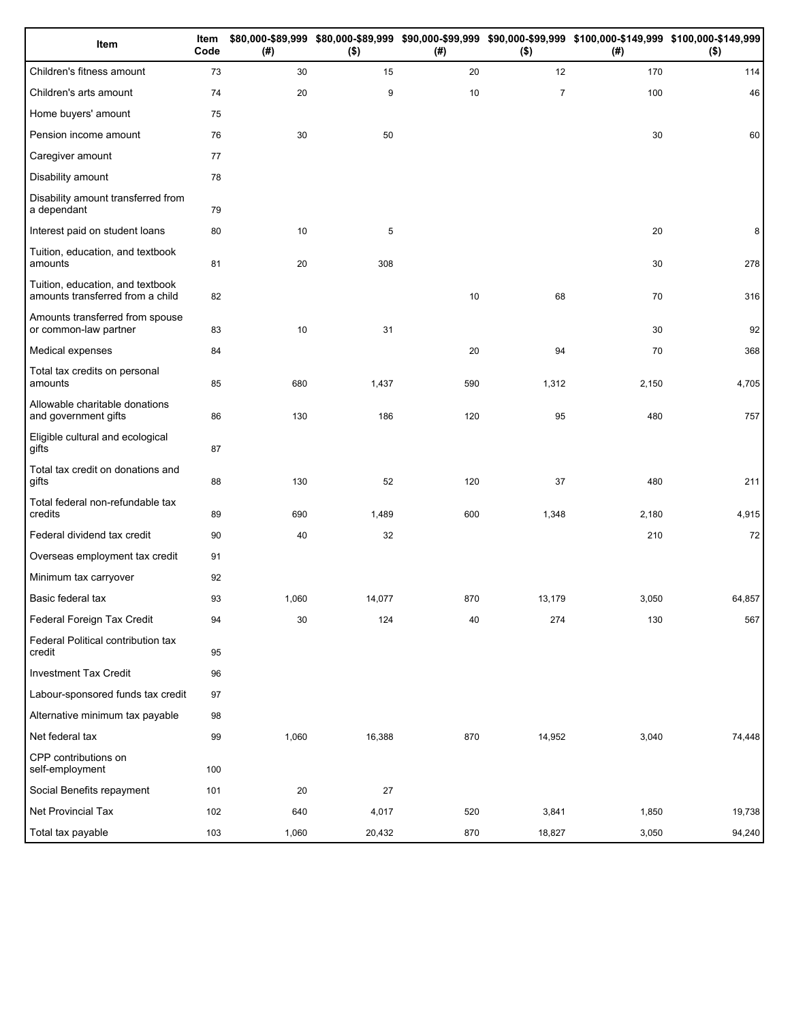| Item                                                                 | Item<br>Code | (#)   | $($ \$) | (#) | $($ \$)        | \$80,000-\$89,999 \$80,000-\$89,999 \$90,000-\$99,999 \$90,000-\$99,999 \$100,000-\$149,999 \$100,000-\$149,999<br>(#) | $($ \$) |
|----------------------------------------------------------------------|--------------|-------|---------|-----|----------------|------------------------------------------------------------------------------------------------------------------------|---------|
| Children's fitness amount                                            | 73           | 30    | 15      | 20  | 12             | 170                                                                                                                    | 114     |
| Children's arts amount                                               | 74           | 20    | 9       | 10  | $\overline{7}$ | 100                                                                                                                    | 46      |
| Home buyers' amount                                                  | 75           |       |         |     |                |                                                                                                                        |         |
| Pension income amount                                                | 76           | 30    | 50      |     |                | 30                                                                                                                     | 60      |
| Caregiver amount                                                     | 77           |       |         |     |                |                                                                                                                        |         |
| Disability amount                                                    | 78           |       |         |     |                |                                                                                                                        |         |
| Disability amount transferred from<br>a dependant                    | 79           |       |         |     |                |                                                                                                                        |         |
| Interest paid on student loans                                       | 80           | 10    | 5       |     |                | 20                                                                                                                     | 8       |
| Tuition, education, and textbook<br>amounts                          | 81           | 20    | 308     |     |                | 30                                                                                                                     | 278     |
| Tuition, education, and textbook<br>amounts transferred from a child | 82           |       |         | 10  | 68             | 70                                                                                                                     | 316     |
| Amounts transferred from spouse<br>or common-law partner             | 83           | 10    | 31      |     |                | 30                                                                                                                     | 92      |
| Medical expenses                                                     | 84           |       |         | 20  | 94             | 70                                                                                                                     | 368     |
| Total tax credits on personal<br>amounts                             | 85           | 680   | 1,437   | 590 | 1,312          | 2,150                                                                                                                  | 4,705   |
| Allowable charitable donations<br>and government gifts               | 86           | 130   | 186     | 120 | 95             | 480                                                                                                                    | 757     |
| Eligible cultural and ecological<br>gifts                            | 87           |       |         |     |                |                                                                                                                        |         |
| Total tax credit on donations and<br>gifts                           | 88           | 130   | 52      | 120 | 37             | 480                                                                                                                    | 211     |
| Total federal non-refundable tax<br>credits                          | 89           | 690   | 1,489   | 600 | 1,348          | 2,180                                                                                                                  | 4,915   |
| Federal dividend tax credit                                          | 90           | 40    | 32      |     |                | 210                                                                                                                    | 72      |
| Overseas employment tax credit                                       | 91           |       |         |     |                |                                                                                                                        |         |
| Minimum tax carryover                                                | 92           |       |         |     |                |                                                                                                                        |         |
| Basic federal tax                                                    | 93           | 1,060 | 14,077  | 870 | 13,179         | 3,050                                                                                                                  | 64,857  |
| Federal Foreign Tax Credit                                           | 94           | 30    | 124     | 40  | 274            | 130                                                                                                                    | 567     |
| Federal Political contribution tax<br>credit                         | 95           |       |         |     |                |                                                                                                                        |         |
| <b>Investment Tax Credit</b>                                         | 96           |       |         |     |                |                                                                                                                        |         |
| Labour-sponsored funds tax credit                                    | 97           |       |         |     |                |                                                                                                                        |         |
| Alternative minimum tax payable                                      | 98           |       |         |     |                |                                                                                                                        |         |
| Net federal tax                                                      | 99           | 1,060 | 16,388  | 870 | 14,952         | 3,040                                                                                                                  | 74,448  |
| CPP contributions on<br>self-employment                              | 100          |       |         |     |                |                                                                                                                        |         |
| Social Benefits repayment                                            | 101          | 20    | 27      |     |                |                                                                                                                        |         |
| Net Provincial Tax                                                   | 102          | 640   | 4,017   | 520 | 3,841          | 1,850                                                                                                                  | 19,738  |
| Total tax payable                                                    | 103          | 1,060 | 20,432  | 870 | 18,827         | 3,050                                                                                                                  | 94,240  |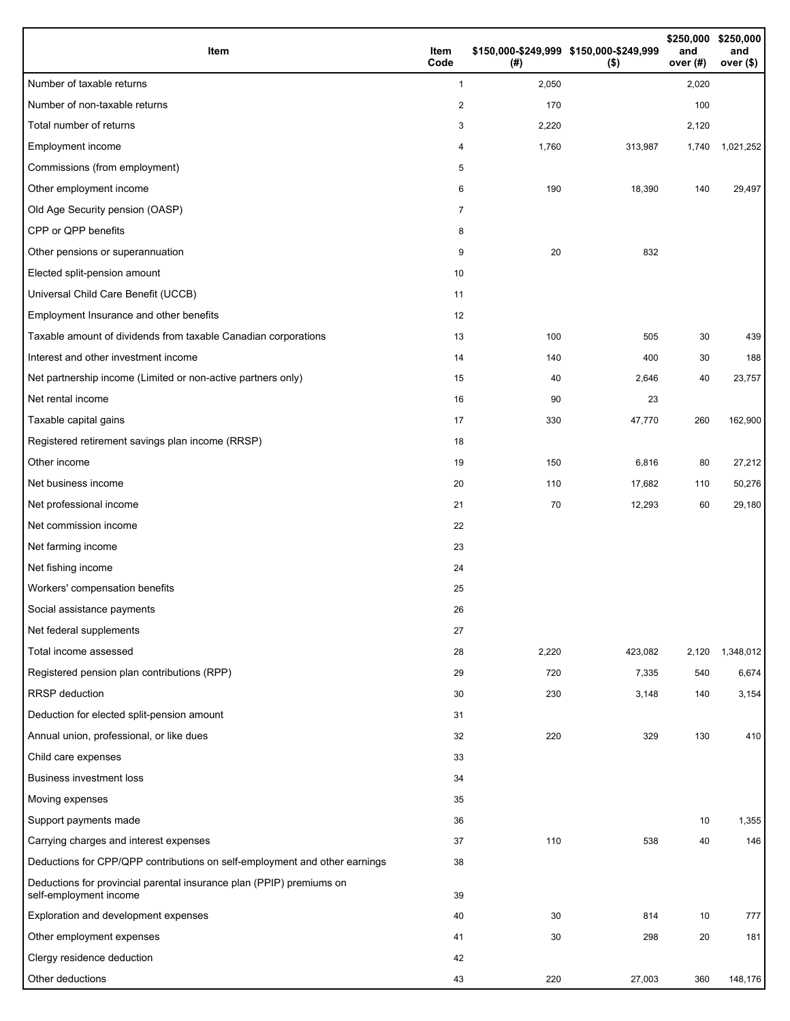| Item                                                                                           | Item<br>Code   | (#)   | \$150,000-\$249,999 \$150,000-\$249,999<br>$($ \$) | \$250,000<br>and<br>over (#) | \$250,000<br>and<br>over (\$) |
|------------------------------------------------------------------------------------------------|----------------|-------|----------------------------------------------------|------------------------------|-------------------------------|
| Number of taxable returns                                                                      | $\mathbf{1}$   | 2,050 |                                                    | 2,020                        |                               |
| Number of non-taxable returns                                                                  | $\overline{2}$ | 170   |                                                    | 100                          |                               |
| Total number of returns                                                                        | 3              | 2,220 |                                                    | 2,120                        |                               |
| Employment income                                                                              | 4              | 1,760 | 313,987                                            | 1,740                        | 1,021,252                     |
| Commissions (from employment)                                                                  | 5              |       |                                                    |                              |                               |
| Other employment income                                                                        | 6              | 190   | 18,390                                             | 140                          | 29,497                        |
| Old Age Security pension (OASP)                                                                | 7              |       |                                                    |                              |                               |
| CPP or QPP benefits                                                                            | 8              |       |                                                    |                              |                               |
| Other pensions or superannuation                                                               | 9              | 20    | 832                                                |                              |                               |
| Elected split-pension amount                                                                   | 10             |       |                                                    |                              |                               |
| Universal Child Care Benefit (UCCB)                                                            | 11             |       |                                                    |                              |                               |
| Employment Insurance and other benefits                                                        | 12             |       |                                                    |                              |                               |
| Taxable amount of dividends from taxable Canadian corporations                                 | 13             | 100   | 505                                                | 30                           | 439                           |
| Interest and other investment income                                                           | 14             | 140   | 400                                                | 30                           | 188                           |
| Net partnership income (Limited or non-active partners only)                                   | 15             | 40    | 2,646                                              | 40                           | 23,757                        |
| Net rental income                                                                              | 16             | 90    | 23                                                 |                              |                               |
| Taxable capital gains                                                                          | 17             | 330   | 47,770                                             | 260                          | 162,900                       |
| Registered retirement savings plan income (RRSP)                                               | 18             |       |                                                    |                              |                               |
| Other income                                                                                   | 19             | 150   | 6,816                                              | 80                           | 27,212                        |
| Net business income                                                                            | 20             | 110   | 17,682                                             | 110                          | 50,276                        |
| Net professional income                                                                        | 21             | 70    | 12,293                                             | 60                           | 29,180                        |
| Net commission income                                                                          | 22             |       |                                                    |                              |                               |
| Net farming income                                                                             | 23             |       |                                                    |                              |                               |
| Net fishing income                                                                             | 24             |       |                                                    |                              |                               |
| Workers' compensation benefits                                                                 | 25             |       |                                                    |                              |                               |
| Social assistance payments                                                                     | 26             |       |                                                    |                              |                               |
| Net federal supplements                                                                        | 27             |       |                                                    |                              |                               |
| Total income assessed                                                                          | 28             | 2,220 | 423,082                                            | 2,120                        | 1,348,012                     |
| Registered pension plan contributions (RPP)                                                    | 29             | 720   | 7,335                                              | 540                          | 6,674                         |
| <b>RRSP</b> deduction                                                                          | 30             | 230   | 3,148                                              | 140                          | 3,154                         |
| Deduction for elected split-pension amount                                                     | 31             |       |                                                    |                              |                               |
| Annual union, professional, or like dues                                                       | 32             | 220   | 329                                                | 130                          | 410                           |
| Child care expenses                                                                            | 33             |       |                                                    |                              |                               |
| <b>Business investment loss</b>                                                                | 34             |       |                                                    |                              |                               |
| Moving expenses                                                                                | 35             |       |                                                    |                              |                               |
| Support payments made                                                                          | 36             |       |                                                    | 10                           | 1,355                         |
| Carrying charges and interest expenses                                                         | 37             | 110   | 538                                                | 40                           | 146                           |
| Deductions for CPP/QPP contributions on self-employment and other earnings                     | 38             |       |                                                    |                              |                               |
| Deductions for provincial parental insurance plan (PPIP) premiums on<br>self-employment income | 39             |       |                                                    |                              |                               |
| Exploration and development expenses                                                           | 40             | 30    | 814                                                | 10                           | 777                           |
| Other employment expenses                                                                      | 41             | 30    | 298                                                | 20                           | 181                           |
| Clergy residence deduction                                                                     | 42             |       |                                                    |                              |                               |
| Other deductions                                                                               | 43             | 220   | 27,003                                             | 360                          | 148,176                       |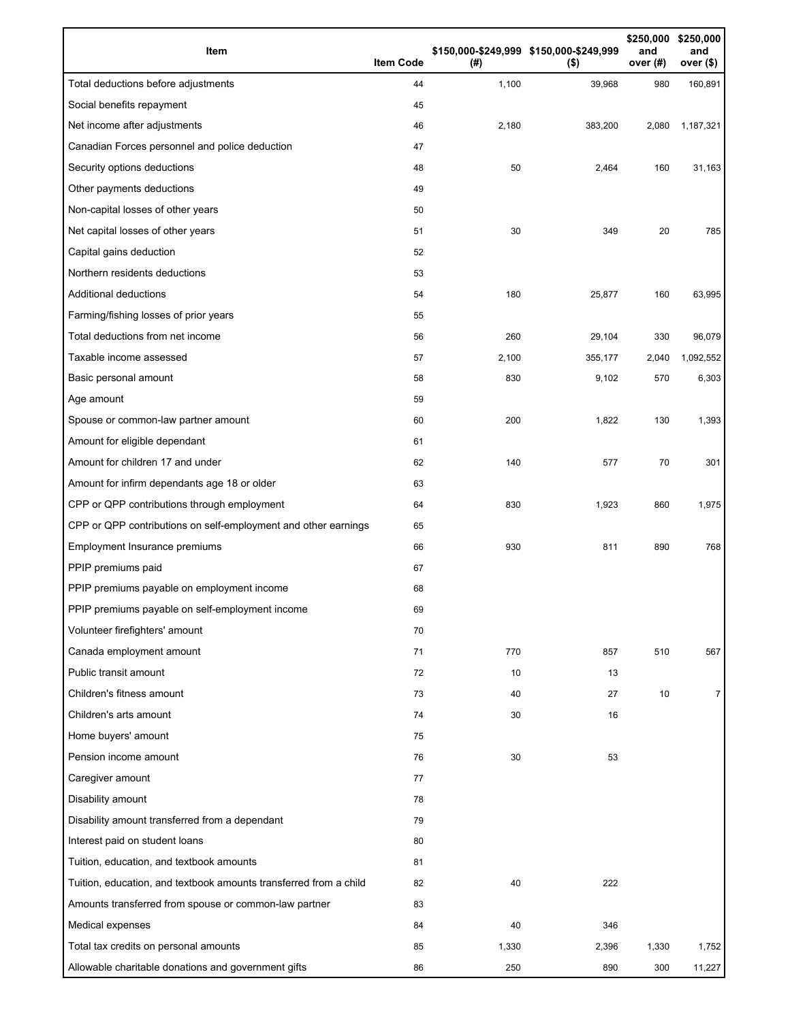| Item                                                              | <b>Item Code</b> | (# )  | \$150,000-\$249,999 \$150,000-\$249,999<br>$($ \$) | \$250,000<br>and<br>over (#) | \$250,000<br>and<br>over $($)$ |
|-------------------------------------------------------------------|------------------|-------|----------------------------------------------------|------------------------------|--------------------------------|
| Total deductions before adjustments                               | 44               | 1,100 | 39,968                                             | 980                          | 160,891                        |
| Social benefits repayment                                         | 45               |       |                                                    |                              |                                |
| Net income after adjustments                                      | 46               | 2,180 | 383,200                                            | 2,080                        | 1,187,321                      |
| Canadian Forces personnel and police deduction                    | 47               |       |                                                    |                              |                                |
| Security options deductions                                       | 48               | 50    | 2,464                                              | 160                          | 31,163                         |
| Other payments deductions                                         | 49               |       |                                                    |                              |                                |
| Non-capital losses of other years                                 | 50               |       |                                                    |                              |                                |
| Net capital losses of other years                                 | 51               | 30    | 349                                                | 20                           | 785                            |
| Capital gains deduction                                           | 52               |       |                                                    |                              |                                |
| Northern residents deductions                                     | 53               |       |                                                    |                              |                                |
| Additional deductions                                             | 54               | 180   | 25,877                                             | 160                          | 63,995                         |
| Farming/fishing losses of prior years                             | 55               |       |                                                    |                              |                                |
| Total deductions from net income                                  | 56               | 260   | 29,104                                             | 330                          | 96,079                         |
| Taxable income assessed                                           | 57               | 2,100 | 355,177                                            | 2,040                        | 1,092,552                      |
| Basic personal amount                                             | 58               | 830   | 9,102                                              | 570                          | 6,303                          |
| Age amount                                                        | 59               |       |                                                    |                              |                                |
| Spouse or common-law partner amount                               | 60               | 200   | 1,822                                              | 130                          | 1,393                          |
| Amount for eligible dependant                                     | 61               |       |                                                    |                              |                                |
| Amount for children 17 and under                                  | 62               | 140   | 577                                                | 70                           | 301                            |
| Amount for infirm dependants age 18 or older                      | 63               |       |                                                    |                              |                                |
| CPP or QPP contributions through employment                       | 64               | 830   | 1,923                                              | 860                          | 1,975                          |
| CPP or QPP contributions on self-employment and other earnings    | 65               |       |                                                    |                              |                                |
| Employment Insurance premiums                                     | 66               | 930   | 811                                                | 890                          | 768                            |
| PPIP premiums paid                                                | 67               |       |                                                    |                              |                                |
| PPIP premiums payable on employment income                        | 68               |       |                                                    |                              |                                |
| PPIP premiums payable on self-employment income                   | 69               |       |                                                    |                              |                                |
| Volunteer firefighters' amount                                    | 70               |       |                                                    |                              |                                |
| Canada employment amount                                          | 71               | 770   | 857                                                | 510                          | 567                            |
| Public transit amount                                             | 72               | 10    | 13                                                 |                              |                                |
| Children's fitness amount                                         | 73               | 40    | 27                                                 | 10                           | 7                              |
| Children's arts amount                                            | 74               | 30    | 16                                                 |                              |                                |
| Home buyers' amount                                               | 75               |       |                                                    |                              |                                |
| Pension income amount                                             | 76               | 30    | 53                                                 |                              |                                |
| Caregiver amount                                                  | 77               |       |                                                    |                              |                                |
| Disability amount                                                 | 78               |       |                                                    |                              |                                |
| Disability amount transferred from a dependant                    | 79               |       |                                                    |                              |                                |
| Interest paid on student loans                                    | 80               |       |                                                    |                              |                                |
| Tuition, education, and textbook amounts                          | 81               |       |                                                    |                              |                                |
| Tuition, education, and textbook amounts transferred from a child | 82               | 40    | 222                                                |                              |                                |
| Amounts transferred from spouse or common-law partner             | 83               |       |                                                    |                              |                                |
| Medical expenses                                                  | 84               | 40    | 346                                                |                              |                                |
| Total tax credits on personal amounts                             | 85               | 1,330 | 2,396                                              | 1,330                        | 1,752                          |
| Allowable charitable donations and government gifts               | 86               | 250   | 890                                                | 300                          | 11,227                         |